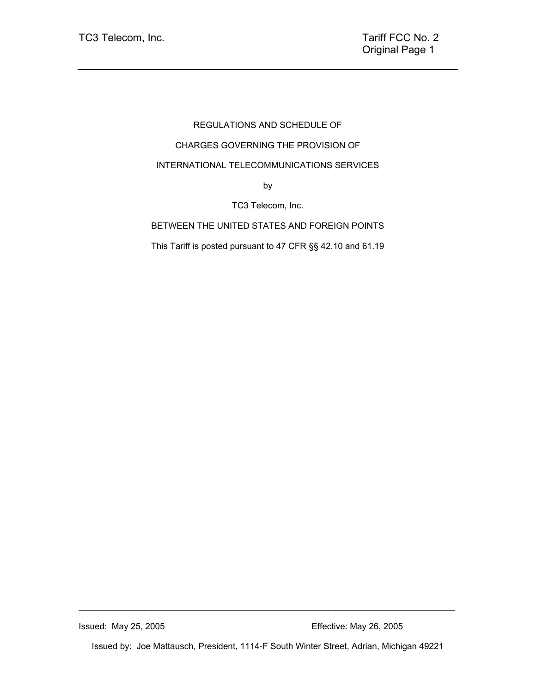# REGULATIONS AND SCHEDULE OF CHARGES GOVERNING THE PROVISION OF INTERNATIONAL TELECOMMUNICATIONS SERVICES by

TC3 Telecom, Inc.

BETWEEN THE UNITED STATES AND FOREIGN POINTS

This Tariff is posted pursuant to 47 CFR §§ 42.10 and 61.19

Issued by: Joe Mattausch, President, 1114-F South Winter Street, Adrian, Michigan 49221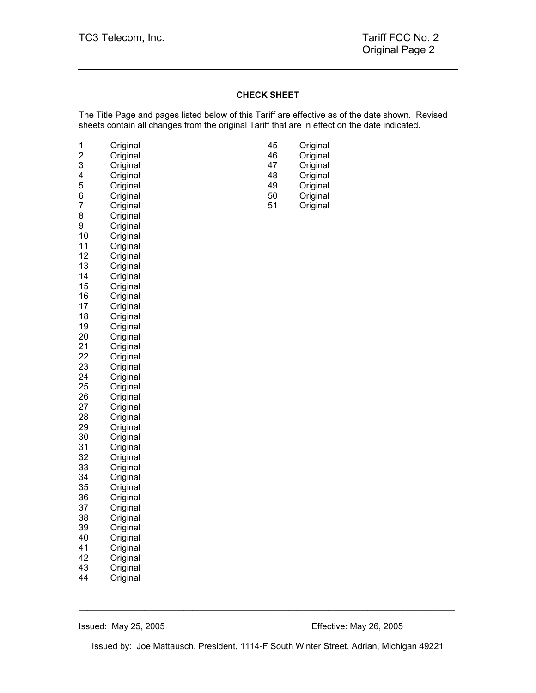#### **CHECK SHEET**

The Title Page and pages listed below of this Tariff are effective as of the date shown. Revised sheets contain all changes from the original Tariff that are in effect on the date indicated.

| 1<br>$\overline{\mathbf{c}}$<br>3<br>4<br>5<br>6<br>$\overline{7}$<br>8<br>9<br>10<br>11<br>12<br>13<br>14<br>15<br>16 | Original<br>Original<br>Original<br>Original<br>Original<br>Original<br>Original<br>Original<br>Original<br>Original<br>Original<br>Original<br>Original<br>Original<br>Original<br>Original | 45<br>46<br>47<br>48<br>49<br>50<br>51 | Original<br>Original<br>Original<br>Original<br>Original<br>Original<br>Original |
|------------------------------------------------------------------------------------------------------------------------|----------------------------------------------------------------------------------------------------------------------------------------------------------------------------------------------|----------------------------------------|----------------------------------------------------------------------------------|
| 17<br>18                                                                                                               | Original<br>Original                                                                                                                                                                         |                                        |                                                                                  |
| 19<br>20                                                                                                               | Original<br>Original                                                                                                                                                                         |                                        |                                                                                  |
| 21<br>22                                                                                                               | Original<br>Original                                                                                                                                                                         |                                        |                                                                                  |
| 23                                                                                                                     | Original                                                                                                                                                                                     |                                        |                                                                                  |
| 24                                                                                                                     | Original                                                                                                                                                                                     |                                        |                                                                                  |
| 25<br>26                                                                                                               | Original<br>Original                                                                                                                                                                         |                                        |                                                                                  |
| 27                                                                                                                     | Original                                                                                                                                                                                     |                                        |                                                                                  |
| 28                                                                                                                     | Original                                                                                                                                                                                     |                                        |                                                                                  |
| 29                                                                                                                     | Original                                                                                                                                                                                     |                                        |                                                                                  |
| 30                                                                                                                     | Original                                                                                                                                                                                     |                                        |                                                                                  |
| 31                                                                                                                     | Original                                                                                                                                                                                     |                                        |                                                                                  |
| 32                                                                                                                     | Original                                                                                                                                                                                     |                                        |                                                                                  |
| 33<br>34                                                                                                               | Original<br>Original                                                                                                                                                                         |                                        |                                                                                  |
| 35                                                                                                                     | Original                                                                                                                                                                                     |                                        |                                                                                  |
| 36                                                                                                                     | Original                                                                                                                                                                                     |                                        |                                                                                  |
| 37                                                                                                                     | Original                                                                                                                                                                                     |                                        |                                                                                  |
| 38                                                                                                                     | Original                                                                                                                                                                                     |                                        |                                                                                  |
| 39<br>40                                                                                                               | Original<br>Original                                                                                                                                                                         |                                        |                                                                                  |
| 41                                                                                                                     | Original                                                                                                                                                                                     |                                        |                                                                                  |
| 42                                                                                                                     | Original                                                                                                                                                                                     |                                        |                                                                                  |
| 43                                                                                                                     | Original                                                                                                                                                                                     |                                        |                                                                                  |
| 44                                                                                                                     | Original                                                                                                                                                                                     |                                        |                                                                                  |

| 45 | Original |
|----|----------|
| 46 | Original |
| 47 | Original |
| 48 | Original |
| 49 | Original |
| 50 | Original |
| 51 | Original |

Issued by: Joe Mattausch, President, 1114-F South Winter Street, Adrian, Michigan 49221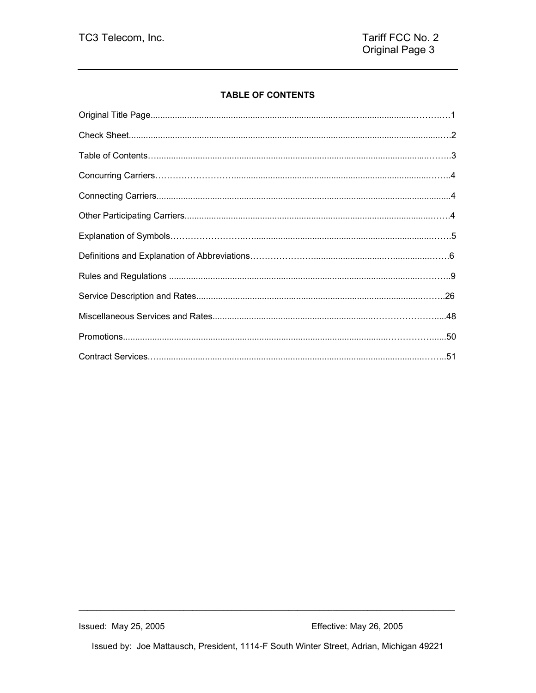# **TABLE OF CONTENTS**

Issued by: Joe Mattausch, President, 1114-F South Winter Street, Adrian, Michigan 49221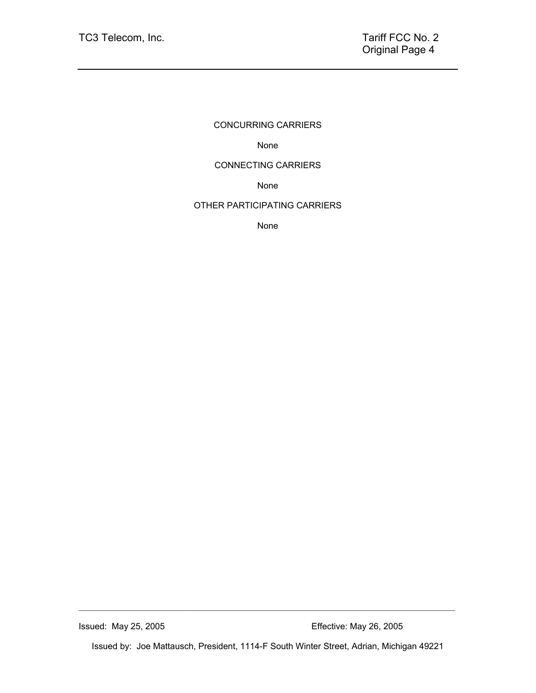# CONCURRING CARRIERS

None

## CONNECTING CARRIERS

None

# OTHER PARTICIPATING CARRIERS

None

Issued by: Joe Mattausch, President, 1114-F South Winter Street, Adrian, Michigan 49221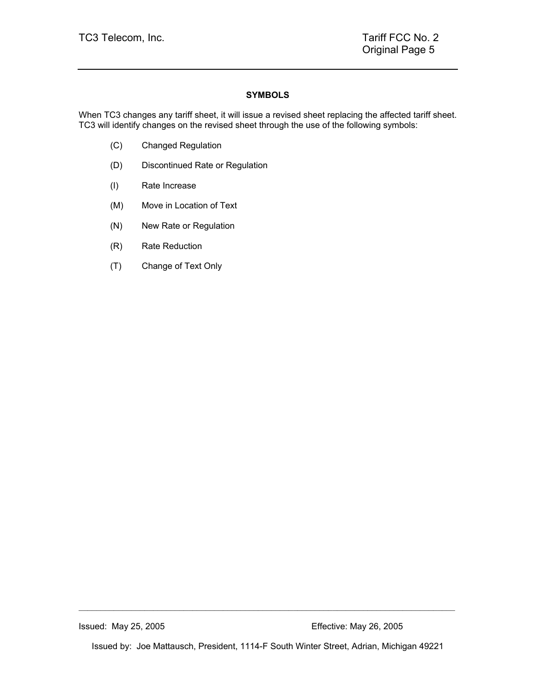## **SYMBOLS**

When TC3 changes any tariff sheet, it will issue a revised sheet replacing the affected tariff sheet. TC3 will identify changes on the revised sheet through the use of the following symbols:

- (C) Changed Regulation
- (D) Discontinued Rate or Regulation
- (I) Rate Increase
- (M) Move in Location of Text
- (N) New Rate or Regulation
- (R) Rate Reduction
- (T) Change of Text Only

Issued by: Joe Mattausch, President, 1114-F South Winter Street, Adrian, Michigan 49221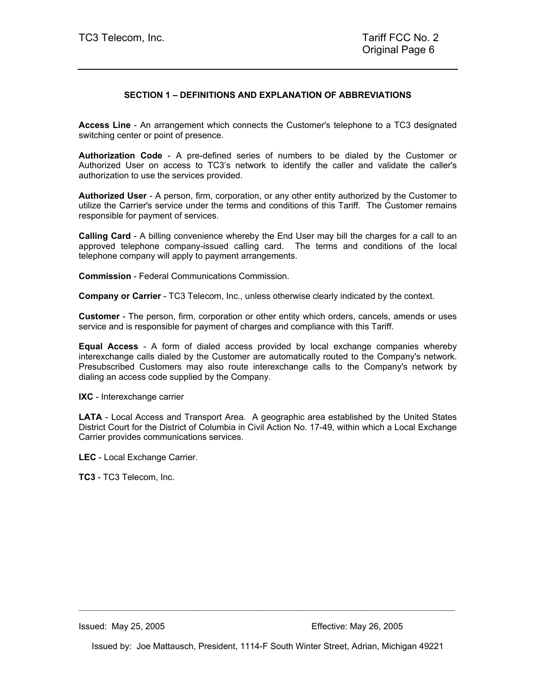#### **SECTION 1 – DEFINITIONS AND EXPLANATION OF ABBREVIATIONS**

**Access Line** - An arrangement which connects the Customer's telephone to a TC3 designated switching center or point of presence.

**Authorization Code** - A pre-defined series of numbers to be dialed by the Customer or Authorized User on access to TC3's network to identify the caller and validate the caller's authorization to use the services provided.

**Authorized User** - A person, firm, corporation, or any other entity authorized by the Customer to utilize the Carrier's service under the terms and conditions of this Tariff. The Customer remains responsible for payment of services.

**Calling Card** - A billing convenience whereby the End User may bill the charges for a call to an approved telephone company-issued calling card. The terms and conditions of the local telephone company will apply to payment arrangements.

**Commission** - Federal Communications Commission.

**Company or Carrier** - TC3 Telecom, Inc., unless otherwise clearly indicated by the context.

**Customer** - The person, firm, corporation or other entity which orders, cancels, amends or uses service and is responsible for payment of charges and compliance with this Tariff.

**Equal Access** - A form of dialed access provided by local exchange companies whereby interexchange calls dialed by the Customer are automatically routed to the Company's network. Presubscribed Customers may also route interexchange calls to the Company's network by dialing an access code supplied by the Company.

**IXC** - Interexchange carrier

**LATA** - Local Access and Transport Area. A geographic area established by the United States District Court for the District of Columbia in Civil Action No. 17-49, within which a Local Exchange Carrier provides communications services.

**LEC** - Local Exchange Carrier.

**TC3** - TC3 Telecom, Inc.

Issued by: Joe Mattausch, President, 1114-F South Winter Street, Adrian, Michigan 49221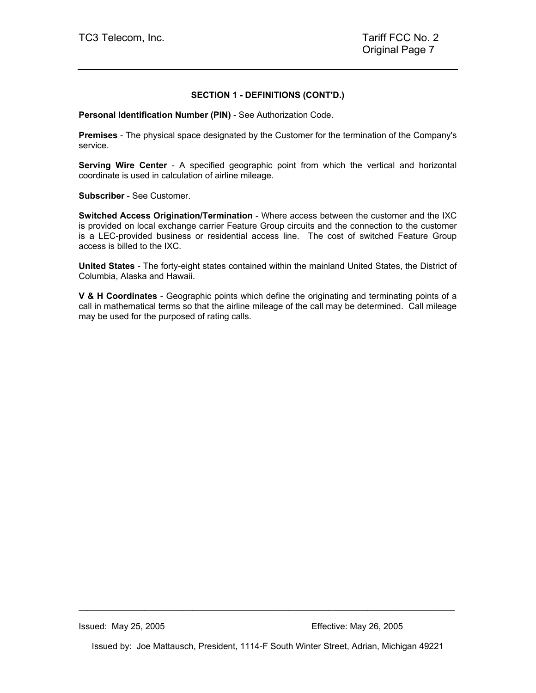#### **SECTION 1 - DEFINITIONS (CONT'D.)**

**Personal Identification Number (PIN)** - See Authorization Code.

**Premises** - The physical space designated by the Customer for the termination of the Company's service.

**Serving Wire Center** - A specified geographic point from which the vertical and horizontal coordinate is used in calculation of airline mileage.

**Subscriber** - See Customer.

**Switched Access Origination/Termination** - Where access between the customer and the IXC is provided on local exchange carrier Feature Group circuits and the connection to the customer is a LEC-provided business or residential access line. The cost of switched Feature Group access is billed to the IXC.

**United States** - The forty-eight states contained within the mainland United States, the District of Columbia, Alaska and Hawaii.

**V & H Coordinates** - Geographic points which define the originating and terminating points of a call in mathematical terms so that the airline mileage of the call may be determined. Call mileage may be used for the purposed of rating calls.

Issued by: Joe Mattausch, President, 1114-F South Winter Street, Adrian, Michigan 49221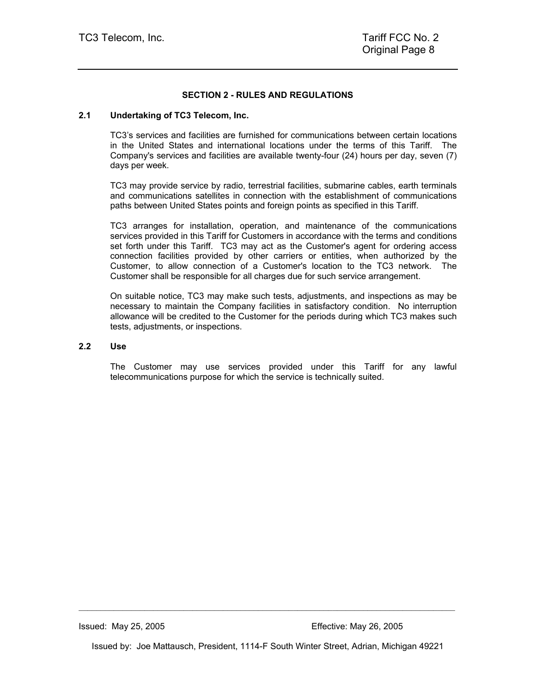#### **SECTION 2 - RULES AND REGULATIONS**

#### **2.1 Undertaking of TC3 Telecom, Inc.**

TC3's services and facilities are furnished for communications between certain locations in the United States and international locations under the terms of this Tariff. The Company's services and facilities are available twenty-four (24) hours per day, seven (7) days per week.

TC3 may provide service by radio, terrestrial facilities, submarine cables, earth terminals and communications satellites in connection with the establishment of communications paths between United States points and foreign points as specified in this Tariff.

TC3 arranges for installation, operation, and maintenance of the communications services provided in this Tariff for Customers in accordance with the terms and conditions set forth under this Tariff. TC3 may act as the Customer's agent for ordering access connection facilities provided by other carriers or entities, when authorized by the Customer, to allow connection of a Customer's location to the TC3 network. The Customer shall be responsible for all charges due for such service arrangement.

On suitable notice, TC3 may make such tests, adjustments, and inspections as may be necessary to maintain the Company facilities in satisfactory condition. No interruption allowance will be credited to the Customer for the periods during which TC3 makes such tests, adjustments, or inspections.

## **2.2 Use**

The Customer may use services provided under this Tariff for any lawful telecommunications purpose for which the service is technically suited.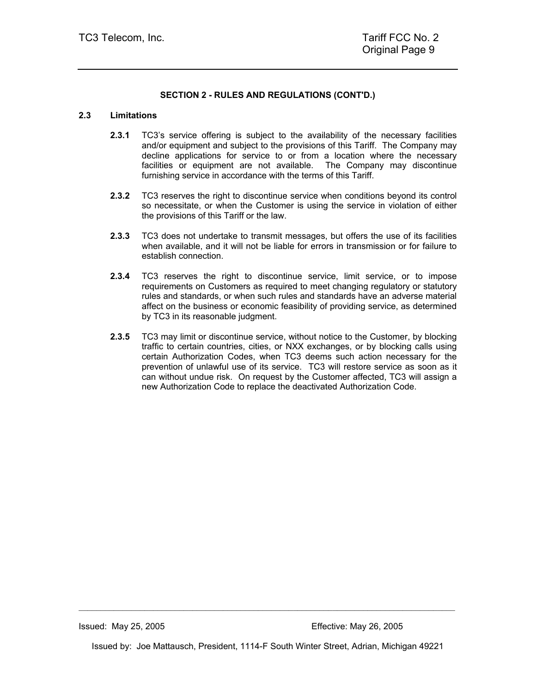#### **2.3 Limitations**

- **2.3.1** TC3's service offering is subject to the availability of the necessary facilities and/or equipment and subject to the provisions of this Tariff. The Company may decline applications for service to or from a location where the necessary facilities or equipment are not available. The Company may discontinue furnishing service in accordance with the terms of this Tariff.
- **2.3.2** TC3 reserves the right to discontinue service when conditions beyond its control so necessitate, or when the Customer is using the service in violation of either the provisions of this Tariff or the law.
- **2.3.3** TC3 does not undertake to transmit messages, but offers the use of its facilities when available, and it will not be liable for errors in transmission or for failure to establish connection.
- **2.3.4** TC3 reserves the right to discontinue service, limit service, or to impose requirements on Customers as required to meet changing regulatory or statutory rules and standards, or when such rules and standards have an adverse material affect on the business or economic feasibility of providing service, as determined by TC3 in its reasonable judgment.
- **2.3.5** TC3 may limit or discontinue service, without notice to the Customer, by blocking traffic to certain countries, cities, or NXX exchanges, or by blocking calls using certain Authorization Codes, when TC3 deems such action necessary for the prevention of unlawful use of its service. TC3 will restore service as soon as it can without undue risk. On request by the Customer affected, TC3 will assign a new Authorization Code to replace the deactivated Authorization Code.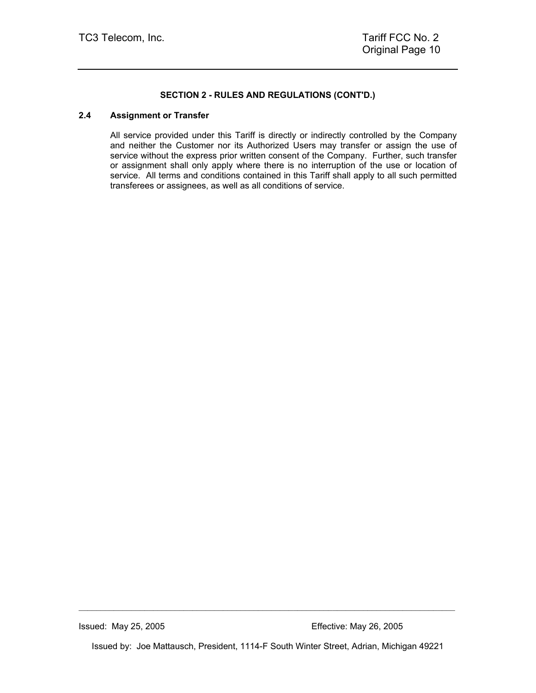#### **2.4 Assignment or Transfer**

All service provided under this Tariff is directly or indirectly controlled by the Company and neither the Customer nor its Authorized Users may transfer or assign the use of service without the express prior written consent of the Company. Further, such transfer or assignment shall only apply where there is no interruption of the use or location of service. All terms and conditions contained in this Tariff shall apply to all such permitted transferees or assignees, as well as all conditions of service.

Issued by: Joe Mattausch, President, 1114-F South Winter Street, Adrian, Michigan 49221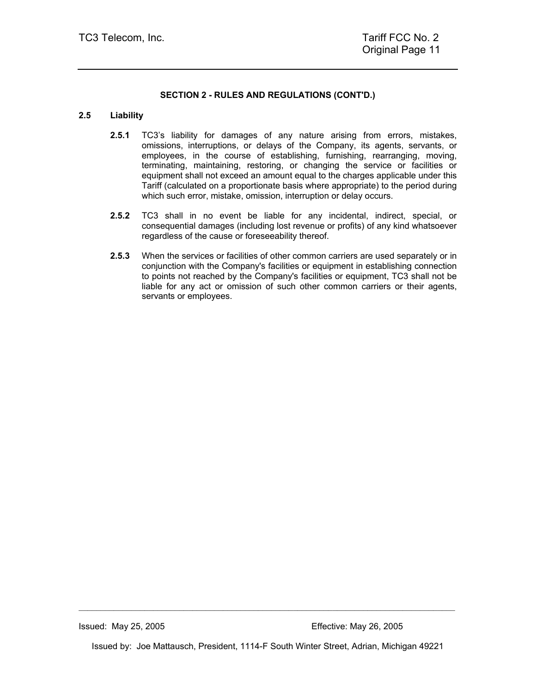#### **2.5 Liability**

- **2.5.1** TC3's liability for damages of any nature arising from errors, mistakes, omissions, interruptions, or delays of the Company, its agents, servants, or employees, in the course of establishing, furnishing, rearranging, moving, terminating, maintaining, restoring, or changing the service or facilities or equipment shall not exceed an amount equal to the charges applicable under this Tariff (calculated on a proportionate basis where appropriate) to the period during which such error, mistake, omission, interruption or delay occurs.
- **2.5.2** TC3 shall in no event be liable for any incidental, indirect, special, or consequential damages (including lost revenue or profits) of any kind whatsoever regardless of the cause or foreseeability thereof.
- **2.5.3** When the services or facilities of other common carriers are used separately or in conjunction with the Company's facilities or equipment in establishing connection to points not reached by the Company's facilities or equipment, TC3 shall not be liable for any act or omission of such other common carriers or their agents, servants or employees.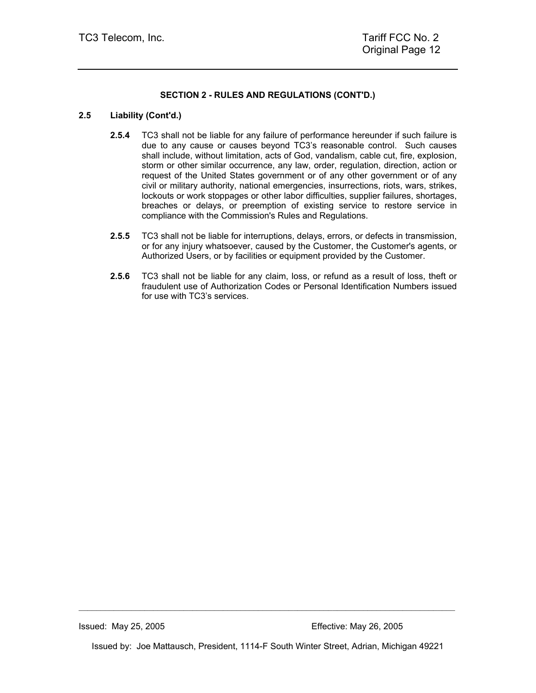#### **2.5 Liability (Cont'd.)**

- **2.5.4** TC3 shall not be liable for any failure of performance hereunder if such failure is due to any cause or causes beyond TC3's reasonable control. Such causes shall include, without limitation, acts of God, vandalism, cable cut, fire, explosion, storm or other similar occurrence, any law, order, regulation, direction, action or request of the United States government or of any other government or of any civil or military authority, national emergencies, insurrections, riots, wars, strikes, lockouts or work stoppages or other labor difficulties, supplier failures, shortages, breaches or delays, or preemption of existing service to restore service in compliance with the Commission's Rules and Regulations.
- **2.5.5** TC3 shall not be liable for interruptions, delays, errors, or defects in transmission, or for any injury whatsoever, caused by the Customer, the Customer's agents, or Authorized Users, or by facilities or equipment provided by the Customer.
- **2.5.6** TC3 shall not be liable for any claim, loss, or refund as a result of loss, theft or fraudulent use of Authorization Codes or Personal Identification Numbers issued for use with TC3's services.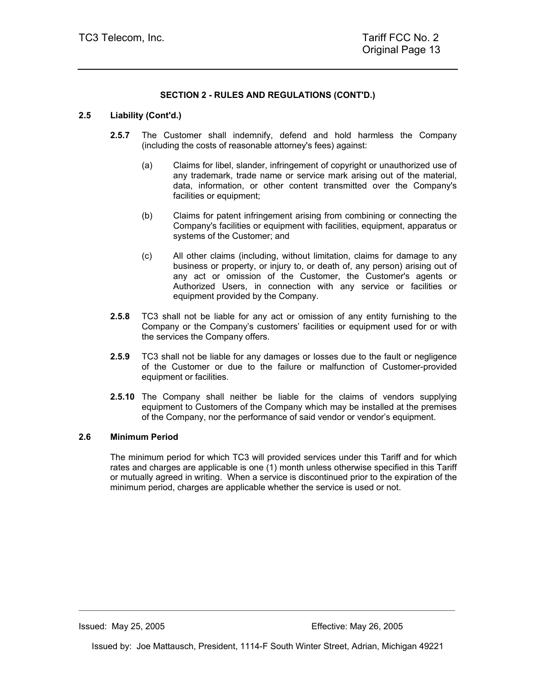## **2.5 Liability (Cont'd.)**

- **2.5.7** The Customer shall indemnify, defend and hold harmless the Company (including the costs of reasonable attorney's fees) against:
	- (a) Claims for libel, slander, infringement of copyright or unauthorized use of any trademark, trade name or service mark arising out of the material, data, information, or other content transmitted over the Company's facilities or equipment;
	- (b) Claims for patent infringement arising from combining or connecting the Company's facilities or equipment with facilities, equipment, apparatus or systems of the Customer; and
	- (c) All other claims (including, without limitation, claims for damage to any business or property, or injury to, or death of, any person) arising out of any act or omission of the Customer, the Customer's agents or Authorized Users, in connection with any service or facilities or equipment provided by the Company.
- **2.5.8** TC3 shall not be liable for any act or omission of any entity furnishing to the Company or the Company's customers' facilities or equipment used for or with the services the Company offers.
- **2.5.9** TC3 shall not be liable for any damages or losses due to the fault or negligence of the Customer or due to the failure or malfunction of Customer-provided equipment or facilities.
- **2.5.10** The Company shall neither be liable for the claims of vendors supplying equipment to Customers of the Company which may be installed at the premises of the Company, nor the performance of said vendor or vendor's equipment.

#### **2.6 Minimum Period**

The minimum period for which TC3 will provided services under this Tariff and for which rates and charges are applicable is one (1) month unless otherwise specified in this Tariff or mutually agreed in writing. When a service is discontinued prior to the expiration of the minimum period, charges are applicable whether the service is used or not.

Issued by: Joe Mattausch, President, 1114-F South Winter Street, Adrian, Michigan 49221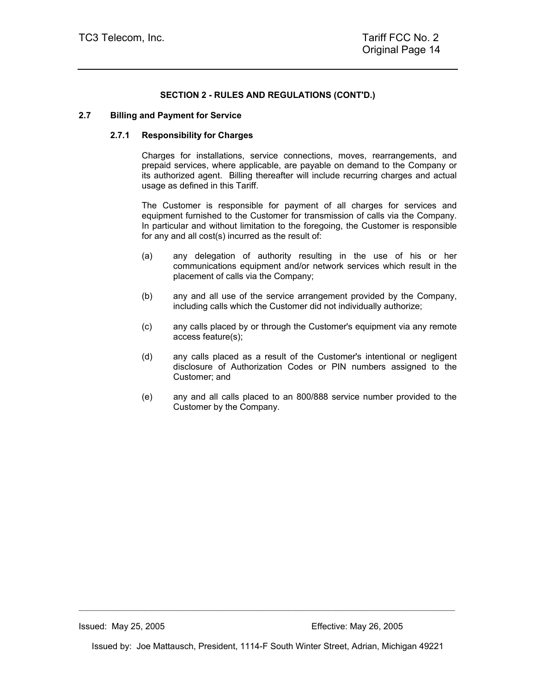#### **2.7 Billing and Payment for Service**

#### **2.7.1 Responsibility for Charges**

Charges for installations, service connections, moves, rearrangements, and prepaid services, where applicable, are payable on demand to the Company or its authorized agent. Billing thereafter will include recurring charges and actual usage as defined in this Tariff.

The Customer is responsible for payment of all charges for services and equipment furnished to the Customer for transmission of calls via the Company. In particular and without limitation to the foregoing, the Customer is responsible for any and all cost(s) incurred as the result of:

- (a) any delegation of authority resulting in the use of his or her communications equipment and/or network services which result in the placement of calls via the Company;
- (b) any and all use of the service arrangement provided by the Company, including calls which the Customer did not individually authorize;
- (c) any calls placed by or through the Customer's equipment via any remote access feature(s);
- (d) any calls placed as a result of the Customer's intentional or negligent disclosure of Authorization Codes or PIN numbers assigned to the Customer; and
- (e) any and all calls placed to an 800/888 service number provided to the Customer by the Company.

Issued by: Joe Mattausch, President, 1114-F South Winter Street, Adrian, Michigan 49221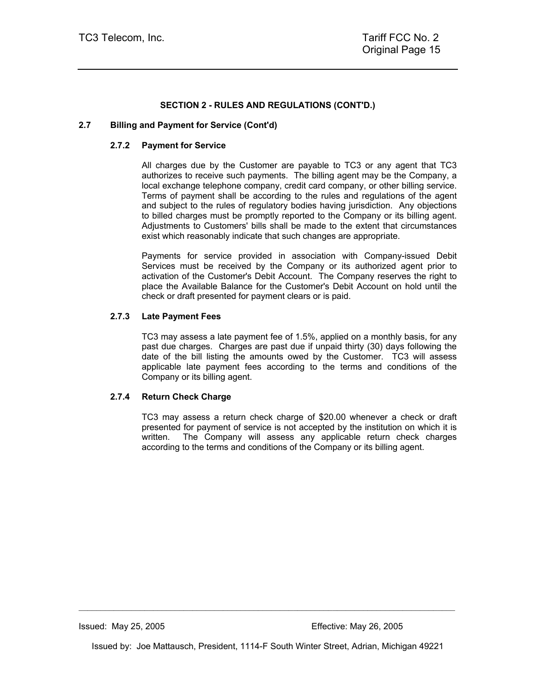#### **2.7 Billing and Payment for Service (Cont'd)**

#### **2.7.2 Payment for Service**

All charges due by the Customer are payable to TC3 or any agent that TC3 authorizes to receive such payments. The billing agent may be the Company, a local exchange telephone company, credit card company, or other billing service. Terms of payment shall be according to the rules and regulations of the agent and subject to the rules of regulatory bodies having jurisdiction. Any objections to billed charges must be promptly reported to the Company or its billing agent. Adjustments to Customers' bills shall be made to the extent that circumstances exist which reasonably indicate that such changes are appropriate.

Payments for service provided in association with Company-issued Debit Services must be received by the Company or its authorized agent prior to activation of the Customer's Debit Account. The Company reserves the right to place the Available Balance for the Customer's Debit Account on hold until the check or draft presented for payment clears or is paid.

#### **2.7.3 Late Payment Fees**

TC3 may assess a late payment fee of 1.5%, applied on a monthly basis, for any past due charges. Charges are past due if unpaid thirty (30) days following the date of the bill listing the amounts owed by the Customer. TC3 will assess applicable late payment fees according to the terms and conditions of the Company or its billing agent.

#### **2.7.4 Return Check Charge**

TC3 may assess a return check charge of \$20.00 whenever a check or draft presented for payment of service is not accepted by the institution on which it is written. The Company will assess any applicable return check charges according to the terms and conditions of the Company or its billing agent.

Issued by: Joe Mattausch, President, 1114-F South Winter Street, Adrian, Michigan 49221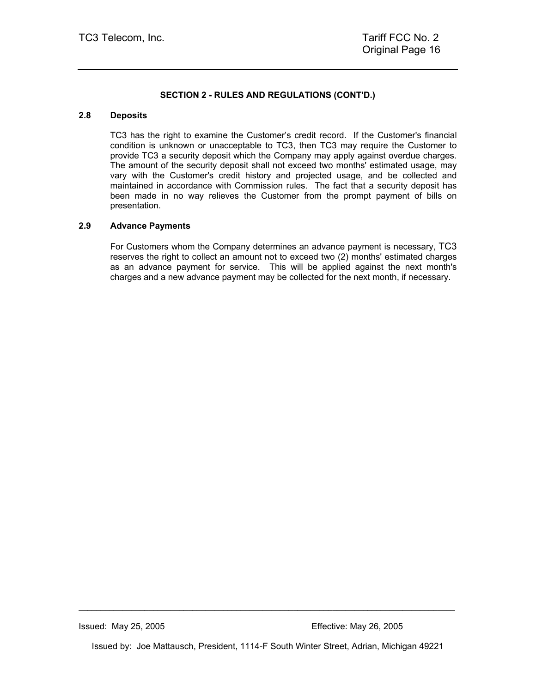#### **2.8 Deposits**

TC3 has the right to examine the Customer's credit record. If the Customer's financial condition is unknown or unacceptable to TC3, then TC3 may require the Customer to provide TC3 a security deposit which the Company may apply against overdue charges. The amount of the security deposit shall not exceed two months' estimated usage, may vary with the Customer's credit history and projected usage, and be collected and maintained in accordance with Commission rules. The fact that a security deposit has been made in no way relieves the Customer from the prompt payment of bills on presentation.

#### **2.9 Advance Payments**

For Customers whom the Company determines an advance payment is necessary, TC3 reserves the right to collect an amount not to exceed two (2) months' estimated charges as an advance payment for service. This will be applied against the next month's charges and a new advance payment may be collected for the next month, if necessary.

Issued by: Joe Mattausch, President, 1114-F South Winter Street, Adrian, Michigan 49221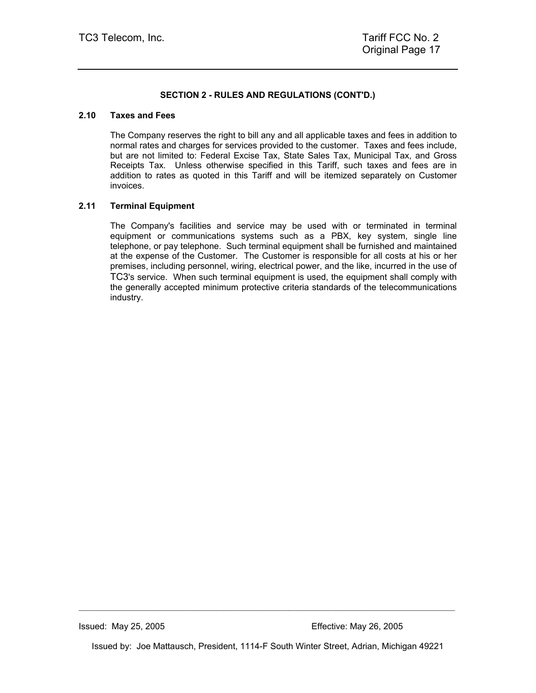#### **2.10 Taxes and Fees**

The Company reserves the right to bill any and all applicable taxes and fees in addition to normal rates and charges for services provided to the customer. Taxes and fees include, but are not limited to: Federal Excise Tax, State Sales Tax, Municipal Tax, and Gross Receipts Tax. Unless otherwise specified in this Tariff, such taxes and fees are in addition to rates as quoted in this Tariff and will be itemized separately on Customer invoices.

#### **2.11 Terminal Equipment**

The Company's facilities and service may be used with or terminated in terminal equipment or communications systems such as a PBX, key system, single line telephone, or pay telephone. Such terminal equipment shall be furnished and maintained at the expense of the Customer. The Customer is responsible for all costs at his or her premises, including personnel, wiring, electrical power, and the like, incurred in the use of TC3's service. When such terminal equipment is used, the equipment shall comply with the generally accepted minimum protective criteria standards of the telecommunications industry.

Issued by: Joe Mattausch, President, 1114-F South Winter Street, Adrian, Michigan 49221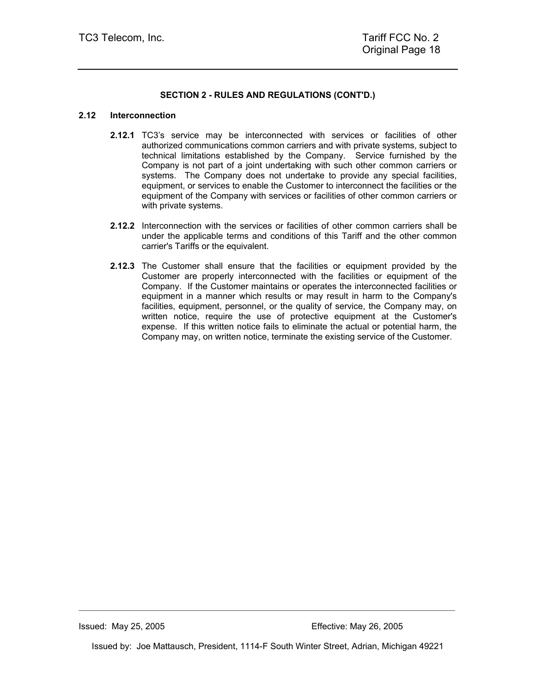#### **2.12 Interconnection**

- **2.12.1** TC3's service may be interconnected with services or facilities of other authorized communications common carriers and with private systems, subject to technical limitations established by the Company. Service furnished by the Company is not part of a joint undertaking with such other common carriers or systems. The Company does not undertake to provide any special facilities, equipment, or services to enable the Customer to interconnect the facilities or the equipment of the Company with services or facilities of other common carriers or with private systems.
- **2.12.2** Interconnection with the services or facilities of other common carriers shall be under the applicable terms and conditions of this Tariff and the other common carrier's Tariffs or the equivalent.
- **2.12.3** The Customer shall ensure that the facilities or equipment provided by the Customer are properly interconnected with the facilities or equipment of the Company. If the Customer maintains or operates the interconnected facilities or equipment in a manner which results or may result in harm to the Company's facilities, equipment, personnel, or the quality of service, the Company may, on written notice, require the use of protective equipment at the Customer's expense. If this written notice fails to eliminate the actual or potential harm, the Company may, on written notice, terminate the existing service of the Customer.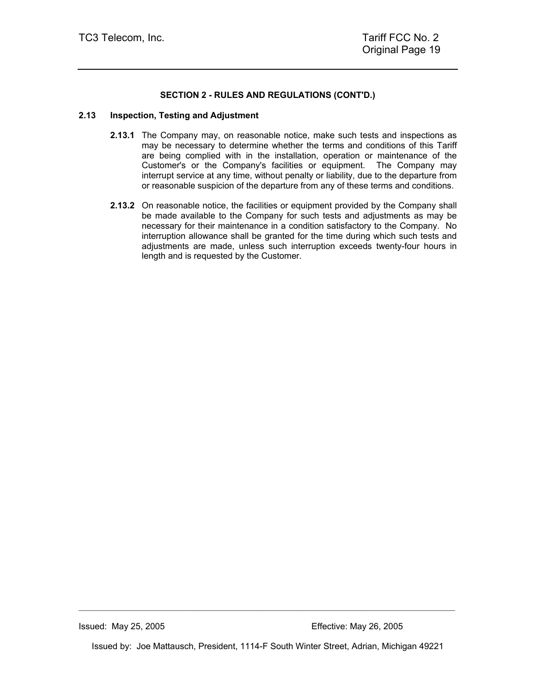#### **2.13 Inspection, Testing and Adjustment**

- **2.13.1** The Company may, on reasonable notice, make such tests and inspections as may be necessary to determine whether the terms and conditions of this Tariff are being complied with in the installation, operation or maintenance of the Customer's or the Company's facilities or equipment. The Company may interrupt service at any time, without penalty or liability, due to the departure from or reasonable suspicion of the departure from any of these terms and conditions.
- **2.13.2** On reasonable notice, the facilities or equipment provided by the Company shall be made available to the Company for such tests and adjustments as may be necessary for their maintenance in a condition satisfactory to the Company. No interruption allowance shall be granted for the time during which such tests and adjustments are made, unless such interruption exceeds twenty-four hours in length and is requested by the Customer.

Issued by: Joe Mattausch, President, 1114-F South Winter Street, Adrian, Michigan 49221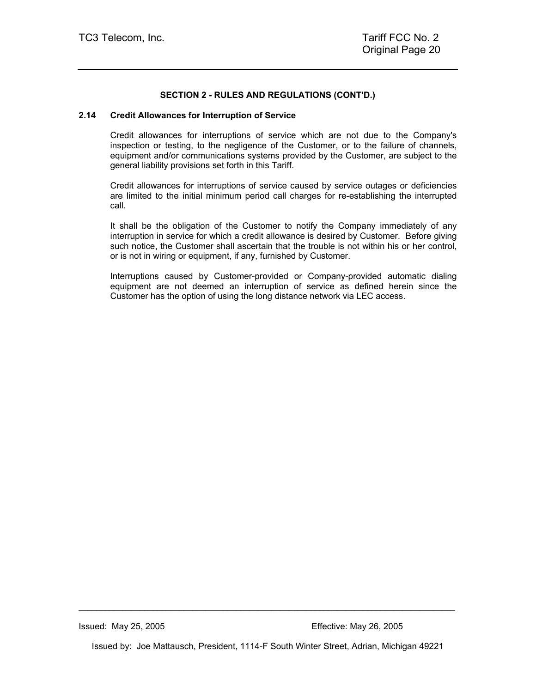#### **2.14 Credit Allowances for Interruption of Service**

Credit allowances for interruptions of service which are not due to the Company's inspection or testing, to the negligence of the Customer, or to the failure of channels, equipment and/or communications systems provided by the Customer, are subject to the general liability provisions set forth in this Tariff.

Credit allowances for interruptions of service caused by service outages or deficiencies are limited to the initial minimum period call charges for re-establishing the interrupted call.

It shall be the obligation of the Customer to notify the Company immediately of any interruption in service for which a credit allowance is desired by Customer. Before giving such notice, the Customer shall ascertain that the trouble is not within his or her control, or is not in wiring or equipment, if any, furnished by Customer.

Interruptions caused by Customer-provided or Company-provided automatic dialing equipment are not deemed an interruption of service as defined herein since the Customer has the option of using the long distance network via LEC access.

Issued by: Joe Mattausch, President, 1114-F South Winter Street, Adrian, Michigan 49221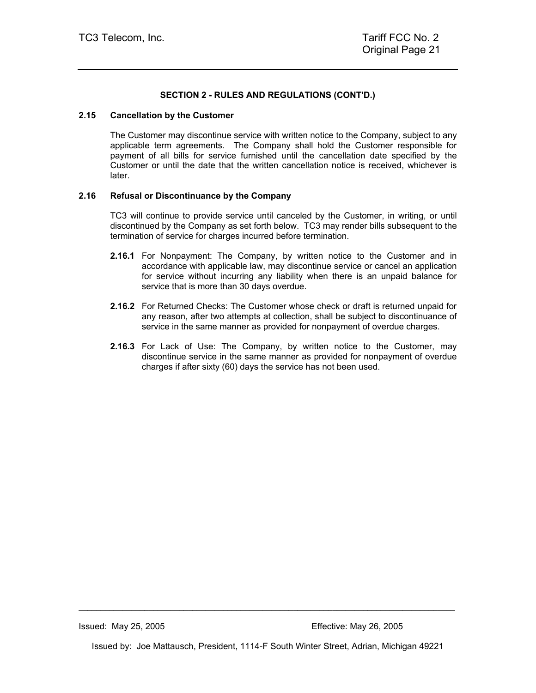#### **2.15 Cancellation by the Customer**

The Customer may discontinue service with written notice to the Company, subject to any applicable term agreements. The Company shall hold the Customer responsible for payment of all bills for service furnished until the cancellation date specified by the Customer or until the date that the written cancellation notice is received, whichever is later.

#### **2.16 Refusal or Discontinuance by the Company**

TC3 will continue to provide service until canceled by the Customer, in writing, or until discontinued by the Company as set forth below. TC3 may render bills subsequent to the termination of service for charges incurred before termination.

- **2.16.1** For Nonpayment: The Company, by written notice to the Customer and in accordance with applicable law, may discontinue service or cancel an application for service without incurring any liability when there is an unpaid balance for service that is more than 30 days overdue.
- **2.16.2** For Returned Checks: The Customer whose check or draft is returned unpaid for any reason, after two attempts at collection, shall be subject to discontinuance of service in the same manner as provided for nonpayment of overdue charges.
- **2.16.3** For Lack of Use: The Company, by written notice to the Customer, may discontinue service in the same manner as provided for nonpayment of overdue charges if after sixty (60) days the service has not been used.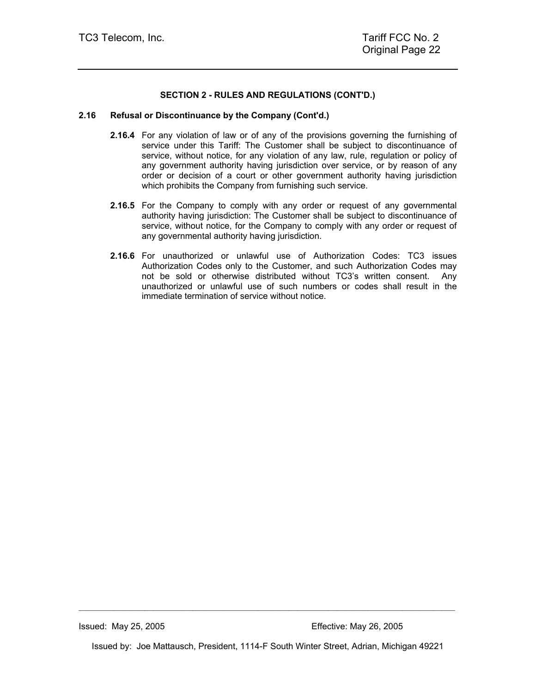#### **2.16 Refusal or Discontinuance by the Company (Cont'd.)**

- **2.16.4** For any violation of law or of any of the provisions governing the furnishing of service under this Tariff: The Customer shall be subject to discontinuance of service, without notice, for any violation of any law, rule, regulation or policy of any government authority having jurisdiction over service, or by reason of any order or decision of a court or other government authority having jurisdiction which prohibits the Company from furnishing such service.
- **2.16.5** For the Company to comply with any order or request of any governmental authority having jurisdiction: The Customer shall be subject to discontinuance of service, without notice, for the Company to comply with any order or request of any governmental authority having jurisdiction.
- **2.16.6** For unauthorized or unlawful use of Authorization Codes: TC3 issues Authorization Codes only to the Customer, and such Authorization Codes may not be sold or otherwise distributed without TC3's written consent. Any unauthorized or unlawful use of such numbers or codes shall result in the immediate termination of service without notice.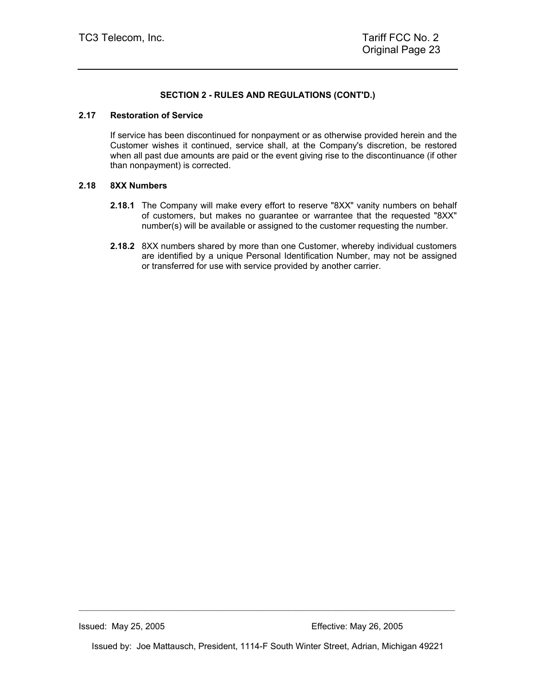#### **2.17 Restoration of Service**

If service has been discontinued for nonpayment or as otherwise provided herein and the Customer wishes it continued, service shall, at the Company's discretion, be restored when all past due amounts are paid or the event giving rise to the discontinuance (if other than nonpayment) is corrected.

#### **2.18 8XX Numbers**

- **2.18.1** The Company will make every effort to reserve "8XX" vanity numbers on behalf of customers, but makes no guarantee or warrantee that the requested "8XX" number(s) will be available or assigned to the customer requesting the number.
- **2.18.2** 8XX numbers shared by more than one Customer, whereby individual customers are identified by a unique Personal Identification Number, may not be assigned or transferred for use with service provided by another carrier.

Issued by: Joe Mattausch, President, 1114-F South Winter Street, Adrian, Michigan 49221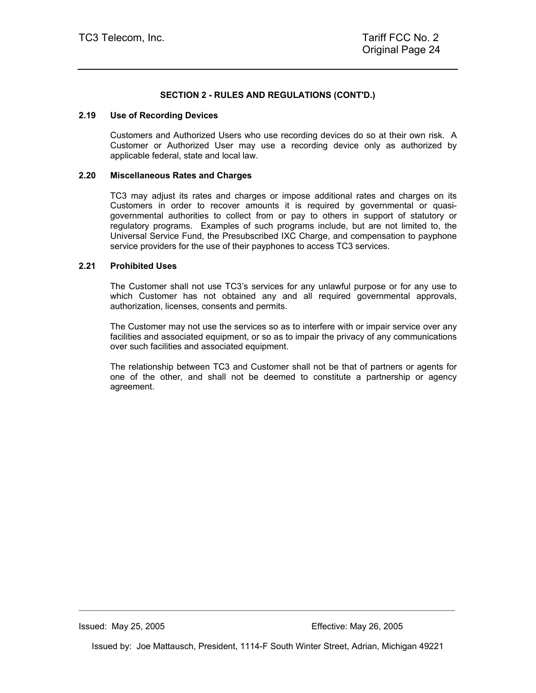#### **2.19 Use of Recording Devices**

Customers and Authorized Users who use recording devices do so at their own risk. A Customer or Authorized User may use a recording device only as authorized by applicable federal, state and local law.

#### **2.20 Miscellaneous Rates and Charges**

TC3 may adjust its rates and charges or impose additional rates and charges on its Customers in order to recover amounts it is required by governmental or quasigovernmental authorities to collect from or pay to others in support of statutory or regulatory programs. Examples of such programs include, but are not limited to, the Universal Service Fund, the Presubscribed IXC Charge, and compensation to payphone service providers for the use of their payphones to access TC3 services.

#### **2.21 Prohibited Uses**

The Customer shall not use TC3's services for any unlawful purpose or for any use to which Customer has not obtained any and all required governmental approvals, authorization, licenses, consents and permits.

The Customer may not use the services so as to interfere with or impair service over any facilities and associated equipment, or so as to impair the privacy of any communications over such facilities and associated equipment.

The relationship between TC3 and Customer shall not be that of partners or agents for one of the other, and shall not be deemed to constitute a partnership or agency agreement.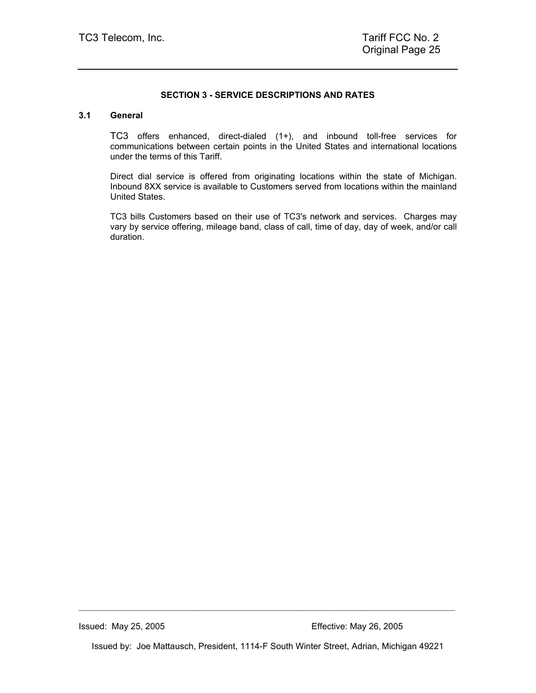#### **SECTION 3 - SERVICE DESCRIPTIONS AND RATES**

#### **3.1 General**

TC3 offers enhanced, direct-dialed (1+), and inbound toll-free services for communications between certain points in the United States and international locations under the terms of this Tariff.

Direct dial service is offered from originating locations within the state of Michigan. Inbound 8XX service is available to Customers served from locations within the mainland United States.

TC3 bills Customers based on their use of TC3's network and services. Charges may vary by service offering, mileage band, class of call, time of day, day of week, and/or call duration.

Issued by: Joe Mattausch, President, 1114-F South Winter Street, Adrian, Michigan 49221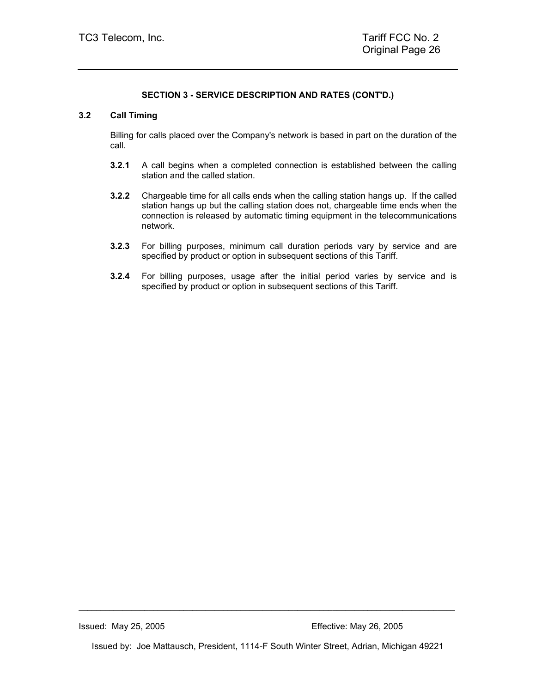## **3.2 Call Timing**

Billing for calls placed over the Company's network is based in part on the duration of the call.

- **3.2.1** A call begins when a completed connection is established between the calling station and the called station.
- **3.2.2** Chargeable time for all calls ends when the calling station hangs up. If the called station hangs up but the calling station does not, chargeable time ends when the connection is released by automatic timing equipment in the telecommunications network.
- **3.2.3** For billing purposes, minimum call duration periods vary by service and are specified by product or option in subsequent sections of this Tariff.
- **3.2.4** For billing purposes, usage after the initial period varies by service and is specified by product or option in subsequent sections of this Tariff.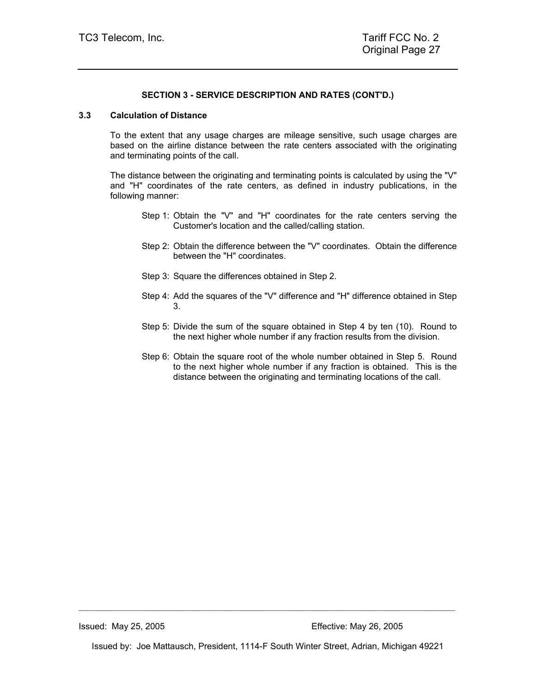## **3.3 Calculation of Distance**

To the extent that any usage charges are mileage sensitive, such usage charges are based on the airline distance between the rate centers associated with the originating and terminating points of the call.

The distance between the originating and terminating points is calculated by using the "V" and "H" coordinates of the rate centers, as defined in industry publications, in the following manner:

- Step 1: Obtain the "V" and "H" coordinates for the rate centers serving the Customer's location and the called/calling station.
- Step 2: Obtain the difference between the "V" coordinates. Obtain the difference between the "H" coordinates.
- Step 3: Square the differences obtained in Step 2.
- Step 4: Add the squares of the "V" difference and "H" difference obtained in Step 3.
- Step 5: Divide the sum of the square obtained in Step 4 by ten (10). Round to the next higher whole number if any fraction results from the division.
- Step 6: Obtain the square root of the whole number obtained in Step 5. Round to the next higher whole number if any fraction is obtained. This is the distance between the originating and terminating locations of the call.

Issued by: Joe Mattausch, President, 1114-F South Winter Street, Adrian, Michigan 49221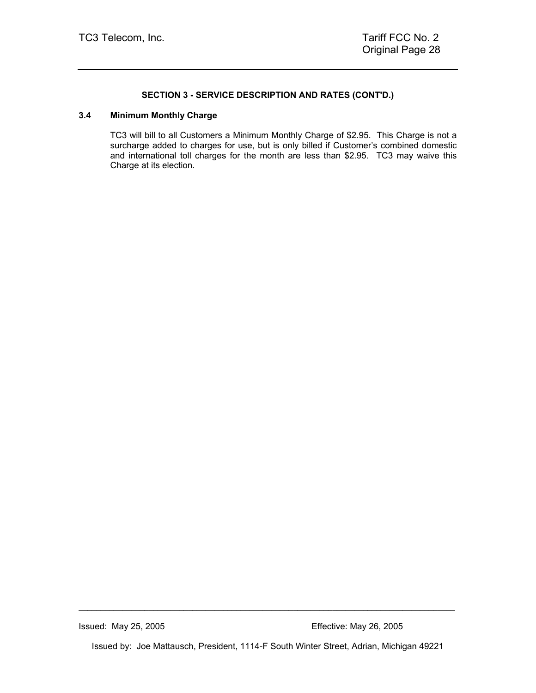#### **3.4 Minimum Monthly Charge**

TC3 will bill to all Customers a Minimum Monthly Charge of \$2.95. This Charge is not a surcharge added to charges for use, but is only billed if Customer's combined domestic and international toll charges for the month are less than \$2.95. TC3 may waive this Charge at its election.

Issued by: Joe Mattausch, President, 1114-F South Winter Street, Adrian, Michigan 49221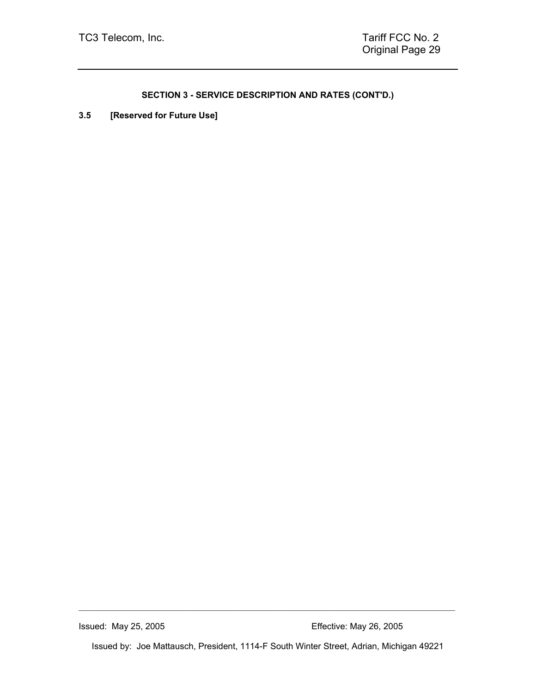**3.5 [Reserved for Future Use]** 

Issued: May 25, 2005 Effective: May 26, 2005

Issued by: Joe Mattausch, President, 1114-F South Winter Street, Adrian, Michigan 49221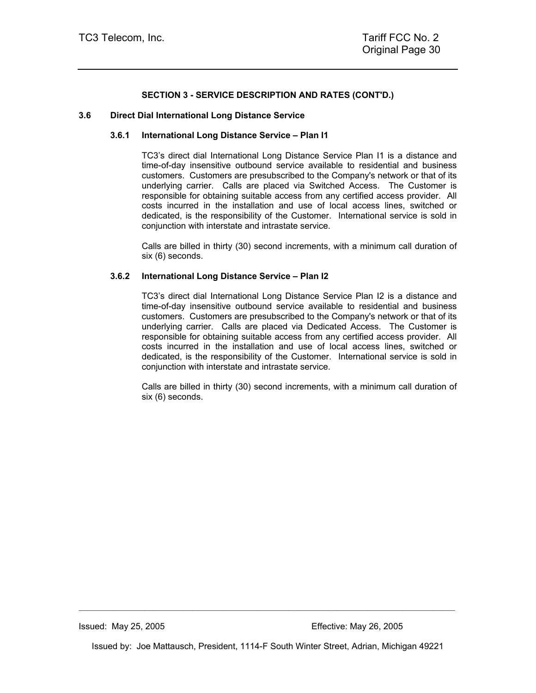#### **3.6 Direct Dial International Long Distance Service**

#### **3.6.1 International Long Distance Service – Plan I1**

TC3's direct dial International Long Distance Service Plan I1 is a distance and time-of-day insensitive outbound service available to residential and business customers. Customers are presubscribed to the Company's network or that of its underlying carrier. Calls are placed via Switched Access. The Customer is responsible for obtaining suitable access from any certified access provider. All costs incurred in the installation and use of local access lines, switched or dedicated, is the responsibility of the Customer. International service is sold in conjunction with interstate and intrastate service.

Calls are billed in thirty (30) second increments, with a minimum call duration of six (6) seconds.

#### **3.6.2 International Long Distance Service – Plan I2**

TC3's direct dial International Long Distance Service Plan I2 is a distance and time-of-day insensitive outbound service available to residential and business customers. Customers are presubscribed to the Company's network or that of its underlying carrier. Calls are placed via Dedicated Access. The Customer is responsible for obtaining suitable access from any certified access provider. All costs incurred in the installation and use of local access lines, switched or dedicated, is the responsibility of the Customer. International service is sold in conjunction with interstate and intrastate service.

Calls are billed in thirty (30) second increments, with a minimum call duration of six (6) seconds.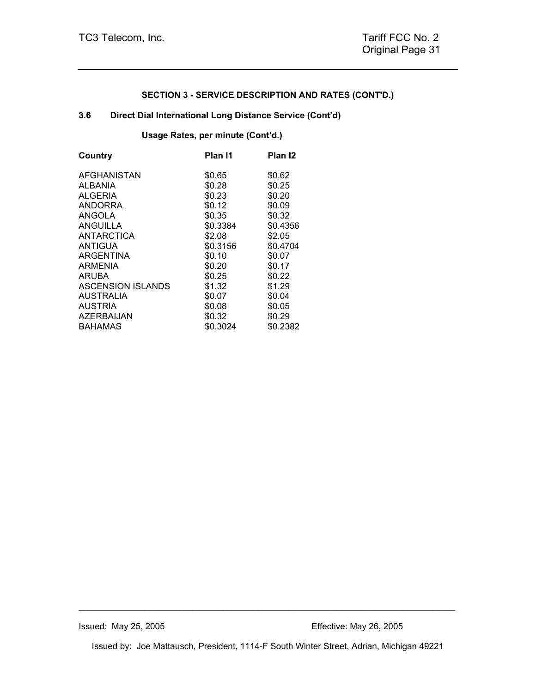## **3.6 Direct Dial International Long Distance Service (Cont'd)**

**Usage Rates, per minute (Cont'd.)** 

| Country                  | Plan I1  | Plan <sub>12</sub> |
|--------------------------|----------|--------------------|
| AFGHANISTAN              | \$0.65   | \$0.62             |
| ALBANIA                  | \$0.28   | \$0.25             |
| <b>ALGERIA</b>           | \$0.23   | \$0.20             |
| <b>ANDORRA</b>           | \$0.12   | \$0.09             |
| <b>ANGOLA</b>            | \$0.35   | \$0.32             |
| <b>ANGUILLA</b>          | \$0.3384 | \$0.4356           |
| ANTARCTICA               | \$2.08   | \$2.05             |
| <b>ANTIGUA</b>           | \$0.3156 | \$0.4704           |
| <b>ARGENTINA</b>         | \$0.10   | \$0.07             |
| ARMENIA                  | \$0.20   | \$0.17             |
| <b>ARUBA</b>             | \$0.25   | \$0.22             |
| <b>ASCENSION ISLANDS</b> | \$1.32   | \$1.29             |
| <b>AUSTRALIA</b>         | \$0.07   | \$0.04             |
| <b>AUSTRIA</b>           | \$0.08   | \$0.05             |
| AZERBAIJAN               | \$0.32   | \$0.29             |
| <b>BAHAMAS</b>           | \$0.3024 | \$0.2382           |

Issued by: Joe Mattausch, President, 1114-F South Winter Street, Adrian, Michigan 49221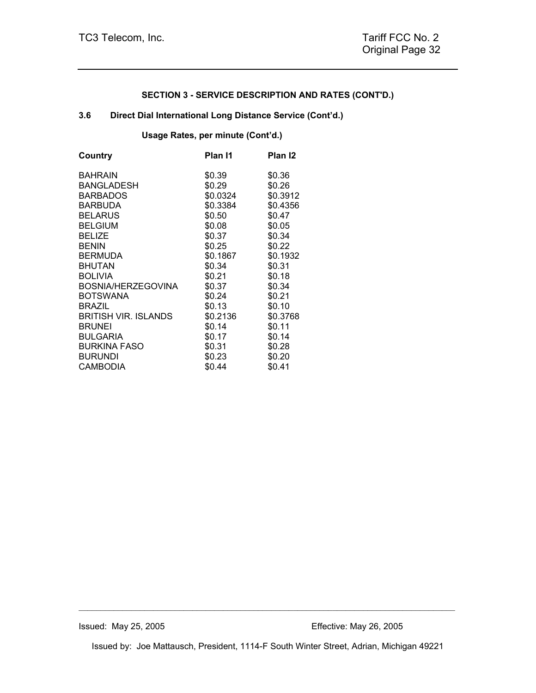## **3.6 Direct Dial International Long Distance Service (Cont'd.)**

## **Usage Rates, per minute (Cont'd.)**

| Country                     | Plan I1  | Plan <sub>12</sub> |
|-----------------------------|----------|--------------------|
| <b>BAHRAIN</b>              | \$0.39   | \$0.36             |
| <b>BANGLADESH</b>           | \$0.29   | \$0.26             |
| <b>BARBADOS</b>             | \$0.0324 | \$0.3912           |
| <b>BARBUDA</b>              | \$0.3384 | \$0.4356           |
| <b>BELARUS</b>              | \$0.50   | \$0.47             |
| <b>BELGIUM</b>              | \$0.08   | \$0.05             |
| <b>BELIZE</b>               | \$0.37   | \$0.34             |
| <b>BENIN</b>                | \$0.25   | \$0.22             |
| <b>BERMUDA</b>              | \$0.1867 | \$0.1932           |
| <b>BHUTAN</b>               | \$0.34   | \$0.31             |
| <b>BOLIVIA</b>              | \$0.21   | \$0.18             |
| BOSNIA/HERZEGOVINA          | \$0.37   | \$0.34             |
| <b>BOTSWANA</b>             | \$0.24   | \$0.21             |
| <b>BRAZIL</b>               | \$0.13   | \$0.10             |
| <b>BRITISH VIR. ISLANDS</b> | \$0.2136 | \$0.3768           |
| <b>BRUNEI</b>               | \$0.14   | \$0.11             |
| <b>BULGARIA</b>             | \$0.17   | \$0.14             |
| <b>BURKINA FASO</b>         | \$0.31   | \$0.28             |
| <b>BURUNDI</b>              | \$0.23   | \$0.20             |
| <b>CAMBODIA</b>             | \$0.44   | \$0.41             |
|                             |          |                    |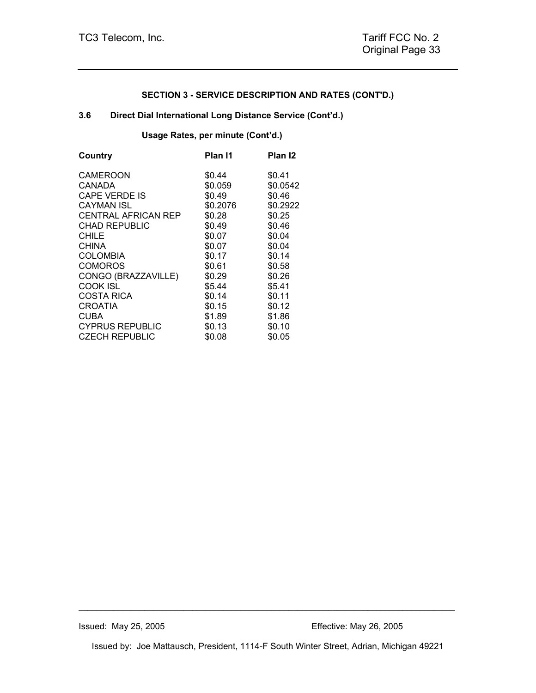## **3.6 Direct Dial International Long Distance Service (Cont'd.)**

## **Usage Rates, per minute (Cont'd.)**

| Country                    | Plan I1  | Plan <sub>12</sub> |
|----------------------------|----------|--------------------|
| CAMEROON                   | \$0.44   | \$0.41             |
| CANADA                     | \$0.059  | \$0.0542           |
| <b>CAPE VERDE IS</b>       | \$0.49   | \$0.46             |
| <b>CAYMAN ISL</b>          | \$0.2076 | \$0.2922           |
| <b>CENTRAL AFRICAN REP</b> | \$0.28   | \$0.25             |
| <b>CHAD REPUBLIC</b>       | \$0.49   | \$0.46             |
| <b>CHILE</b>               | \$0.07   | \$0.04             |
| <b>CHINA</b>               | \$0.07   | \$0.04             |
| <b>COLOMBIA</b>            | \$0.17   | \$0.14             |
| <b>COMOROS</b>             | \$0.61   | \$0.58             |
| CONGO (BRAZZAVILLE)        | \$0.29   | \$0.26             |
| COOK ISL                   | \$5.44   | \$5.41             |
| <b>COSTA RICA</b>          | \$0.14   | \$0.11             |
| <b>CROATIA</b>             | \$0.15   | \$0.12             |
| <b>CUBA</b>                | \$1.89   | \$1.86             |
| <b>CYPRUS REPUBLIC</b>     | \$0.13   | \$0.10             |
| <b>CZECH REPUBLIC</b>      | \$0.08   | \$0.05             |
|                            |          |                    |

Issued by: Joe Mattausch, President, 1114-F South Winter Street, Adrian, Michigan 49221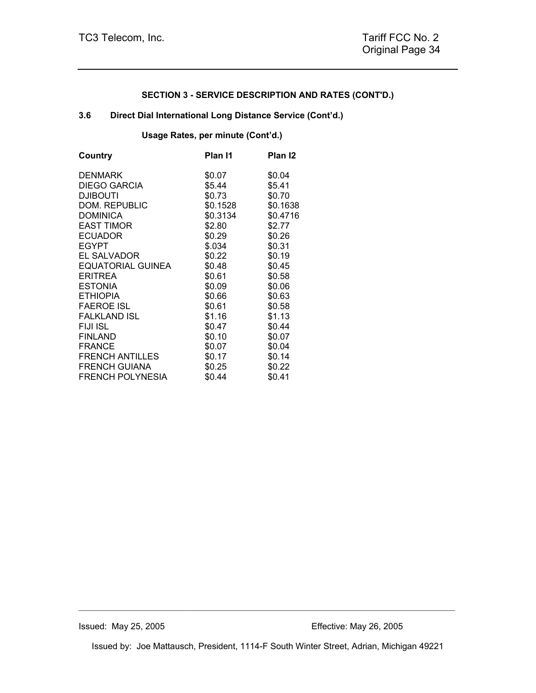## **3.6 Direct Dial International Long Distance Service (Cont'd.)**

**Usage Rates, per minute (Cont'd.)** 

| Country                 | Plan I1  | Plan I2  |
|-------------------------|----------|----------|
| <b>DENMARK</b>          | \$0.07   | \$0.04   |
| <b>DIEGO GARCIA</b>     | \$5.44   | \$5.41   |
| <b>DJIBOUTI</b>         | \$0.73   | \$0.70   |
| DOM. REPUBLIC           | \$0.1528 | \$0.1638 |
| <b>DOMINICA</b>         | \$0.3134 | \$0.4716 |
| <b>EAST TIMOR</b>       | \$2.80   | \$2.77   |
| ECUADOR                 | \$0.29   | \$0.26   |
| <b>EGYPT</b>            | \$.034   | \$0.31   |
| <b>EL SALVADOR</b>      | \$0.22   | \$0.19   |
| EQUATORIAL GUINEA       | \$0.48   | \$0.45   |
| <b>ERITREA</b>          | \$0.61   | \$0.58   |
| <b>ESTONIA</b>          | \$0.09   | \$0.06   |
| <b>ETHIOPIA</b>         | \$0.66   | \$0.63   |
| <b>FAEROE ISL</b>       | \$0.61   | \$0.58   |
| <b>FALKLAND ISL</b>     | \$1.16   | \$1.13   |
| <b>FIJI ISL</b>         | \$0.47   | \$0.44   |
| <b>FINLAND</b>          | \$0.10   | \$0.07   |
| <b>FRANCE</b>           | \$0.07   | \$0.04   |
| <b>FRENCH ANTILLES</b>  | \$0.17   | \$0.14   |
| <b>FRENCH GUIANA</b>    | \$0.25   | \$0.22   |
| <b>FRENCH POLYNESIA</b> | \$0.44   | \$0.41   |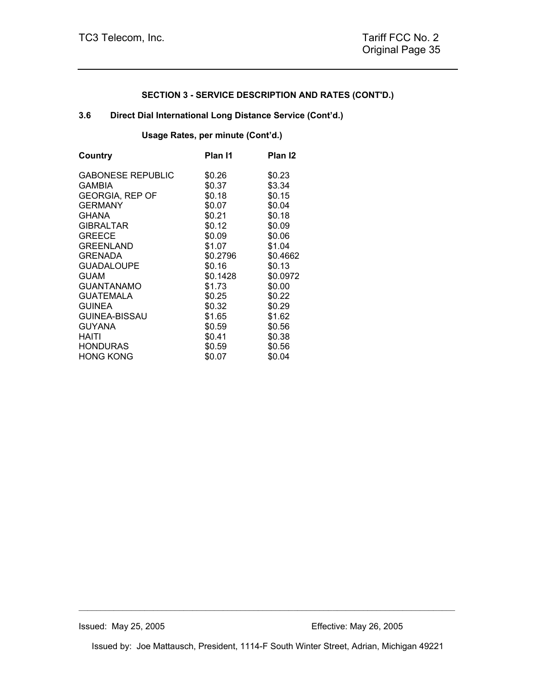## **3.6 Direct Dial International Long Distance Service (Cont'd.)**

## **Usage Rates, per minute (Cont'd.)**

| Country                  | Plan I1  | Plan I2  |
|--------------------------|----------|----------|
| <b>GABONESE REPUBLIC</b> | \$0.26   | \$0.23   |
| <b>GAMBIA</b>            | \$0.37   | \$3.34   |
| <b>GEORGIA, REP OF</b>   | \$0.18   | \$0.15   |
| <b>GERMANY</b>           | \$0.07   | \$0.04   |
| <b>GHANA</b>             | \$0.21   | \$0.18   |
| <b>GIBRALTAR</b>         | \$0.12   | \$0.09   |
| <b>GREECE</b>            | \$0.09   | \$0.06   |
| <b>GREENLAND</b>         | \$1.07   | \$1.04   |
| <b>GRENADA</b>           | \$0.2796 | \$0.4662 |
| <b>GUADALOUPE</b>        | \$0.16   | \$0.13   |
| <b>GUAM</b>              | \$0.1428 | \$0.0972 |
| GUANTANAMO               | \$1.73   | \$0.00   |
| <b>GUATEMALA</b>         | \$0.25   | \$0.22   |
| <b>GUINEA</b>            | \$0.32   | \$0.29   |
| <b>GUINEA-BISSAU</b>     | \$1.65   | \$1.62   |
| <b>GUYANA</b>            | \$0.59   | \$0.56   |
| HAITI                    | \$0.41   | \$0.38   |
| <b>HONDURAS</b>          | \$0.59   | \$0.56   |
| <b>HONG KONG</b>         | \$0.07   | \$0.04   |

Issued by: Joe Mattausch, President, 1114-F South Winter Street, Adrian, Michigan 49221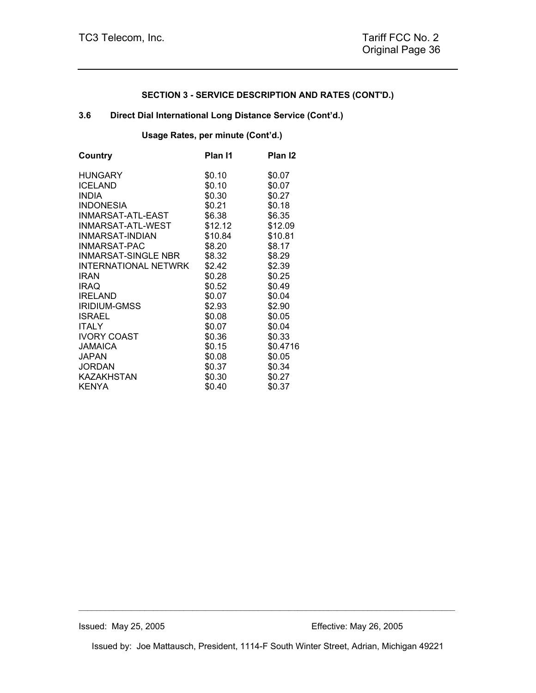## **3.6 Direct Dial International Long Distance Service (Cont'd.)**

## **Usage Rates, per minute (Cont'd.)**

| Country                     | Plan I1 | Plan <sub>12</sub> |
|-----------------------------|---------|--------------------|
| <b>HUNGARY</b>              | \$0.10  | \$0.07             |
| <b>ICELAND</b>              | \$0.10  | \$0.07             |
| <b>INDIA</b>                | \$0.30  | \$0.27             |
| <b>INDONESIA</b>            | \$0.21  | \$0.18             |
| INMARSAT-ATL-EAST           | \$6.38  | \$6.35             |
| INMARSAT-ATL-WEST           | \$12.12 | \$12.09            |
| INMARSAT-INDIAN             | \$10.84 | \$10.81            |
| INMARSAT-PAC                | \$8.20  | \$8.17             |
| <b>INMARSAT-SINGLE NBR</b>  | \$8.32  | \$8.29             |
| <b>INTERNATIONAL NETWRK</b> | \$2.42  | \$2.39             |
| <b>IRAN</b>                 | \$0.28  | \$0.25             |
| <b>IRAQ</b>                 | \$0.52  | \$0.49             |
| <b>IRELAND</b>              | \$0.07  | \$0.04             |
| <b>IRIDIUM-GMSS</b>         | \$2.93  | \$2.90             |
| <b>ISRAEL</b>               | \$0.08  | \$0.05             |
| <b>ITALY</b>                | \$0.07  | \$0.04             |
| <b>IVORY COAST</b>          | \$0.36  | \$0.33             |
| <b>JAMAICA</b>              | \$0.15  | \$0.4716           |
| JAPAN                       | \$0.08  | \$0.05             |
| <b>JORDAN</b>               | \$0.37  | \$0.34             |
| <b>KAZAKHSTAN</b>           | \$0.30  | \$0.27             |
| <b>KENYA</b>                | \$0.40  | \$0.37             |

Issued by: Joe Mattausch, President, 1114-F South Winter Street, Adrian, Michigan 49221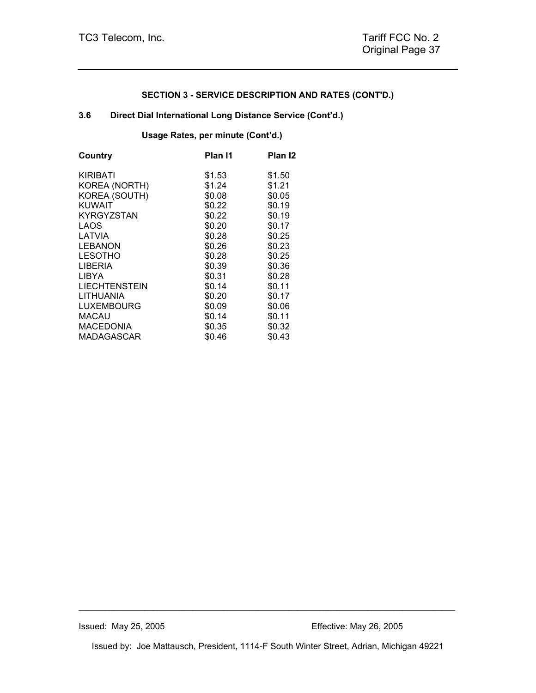## **3.6 Direct Dial International Long Distance Service (Cont'd.)**

**Usage Rates, per minute (Cont'd.)** 

| Plan I1 | Plan <sub>12</sub> |
|---------|--------------------|
| \$1.53  | \$1.50             |
| \$1.24  | \$1.21             |
| \$0.08  | \$0.05             |
| \$0.22  | \$0.19             |
| \$0.22  | \$0.19             |
| \$0.20  | \$0.17             |
| \$0.28  | \$0.25             |
| \$0.26  | \$0.23             |
| \$0.28  | \$0.25             |
| \$0.39  | \$0.36             |
| \$0.31  | \$0.28             |
| \$0.14  | \$0.11             |
| \$0.20  | \$0.17             |
| \$0.09  | \$0.06             |
|         | \$0.11             |
|         | \$0.32             |
| \$0.46  | \$0.43             |
|         | \$0.14<br>\$0.35   |

Issued by: Joe Mattausch, President, 1114-F South Winter Street, Adrian, Michigan 49221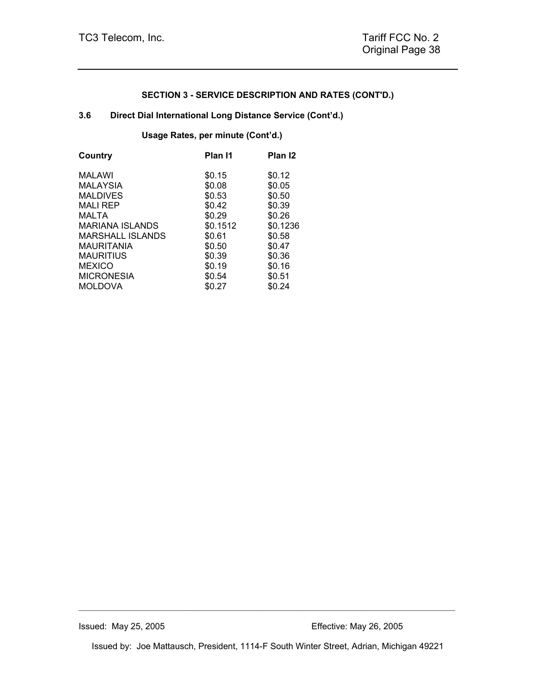## **3.6 Direct Dial International Long Distance Service (Cont'd.)**

## **Usage Rates, per minute (Cont'd.)**

| Country                | Plan I1  | Plan <sub>12</sub> |
|------------------------|----------|--------------------|
| MALAWI                 | \$0.15   | \$0.12             |
| <b>MALAYSIA</b>        | \$0.08   | \$0.05             |
| <b>MALDIVES</b>        | \$0.53   | \$0.50             |
| <b>MALI REP</b>        | \$0.42   | \$0.39             |
| MALTA                  | \$0.29   | \$0.26             |
| <b>MARIANA ISLANDS</b> | \$0.1512 | \$0.1236           |
| MARSHALL ISLANDS       | \$0.61   | \$0.58             |
| <b>MAURITANIA</b>      | \$0.50   | \$0.47             |
| <b>MAURITIUS</b>       | \$0.39   | \$0.36             |
| <b>MEXICO</b>          | \$0.19   | \$0.16             |
| <b>MICRONESIA</b>      | \$0.54   | \$0.51             |
| MOLDOVA                | \$0.27   | \$0.24             |

Issued by: Joe Mattausch, President, 1114-F South Winter Street, Adrian, Michigan 49221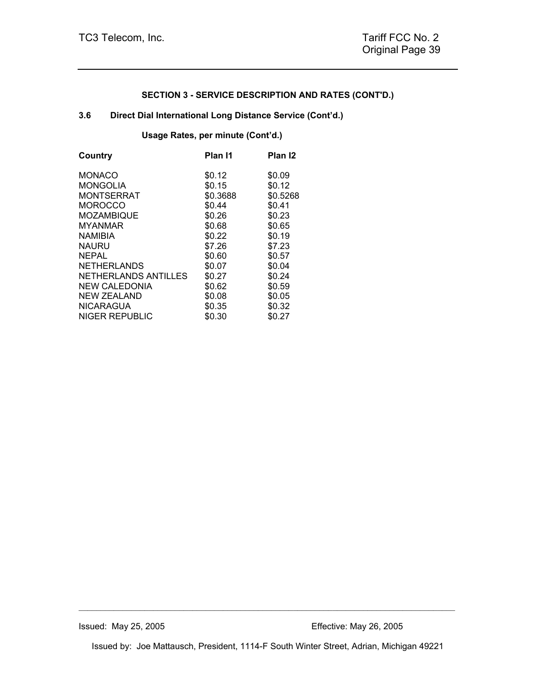## **3.6 Direct Dial International Long Distance Service (Cont'd.)**

**Usage Rates, per minute (Cont'd.)** 

| Country               | Plan I1  | Plan <sub>12</sub> |
|-----------------------|----------|--------------------|
| <b>MONACO</b>         | \$0.12   | \$0.09             |
| <b>MONGOLIA</b>       | \$0.15   | \$0.12             |
| <b>MONTSERRAT</b>     | \$0.3688 | \$0.5268           |
| <b>MOROCCO</b>        | \$0.44   | \$0.41             |
| <b>MOZAMBIQUE</b>     | \$0.26   | \$0.23             |
| <b>MYANMAR</b>        | \$0.68   | \$0.65             |
| <b>NAMIBIA</b>        | \$0.22   | \$0.19             |
| <b>NAURU</b>          | \$7.26   | \$7.23             |
| <b>NEPAL</b>          | \$0.60   | \$0.57             |
| <b>NETHERLANDS</b>    | \$0.07   | \$0.04             |
| NETHERLANDS ANTILLES  | \$0.27   | \$0.24             |
| <b>NEW CALEDONIA</b>  | \$0.62   | \$0.59             |
| <b>NEW ZEALAND</b>    | \$0.08   | \$0.05             |
| <b>NICARAGUA</b>      | \$0.35   | \$0.32             |
| <b>NIGER REPUBLIC</b> | \$0.30   | \$0.27             |
|                       |          |                    |

Issued by: Joe Mattausch, President, 1114-F South Winter Street, Adrian, Michigan 49221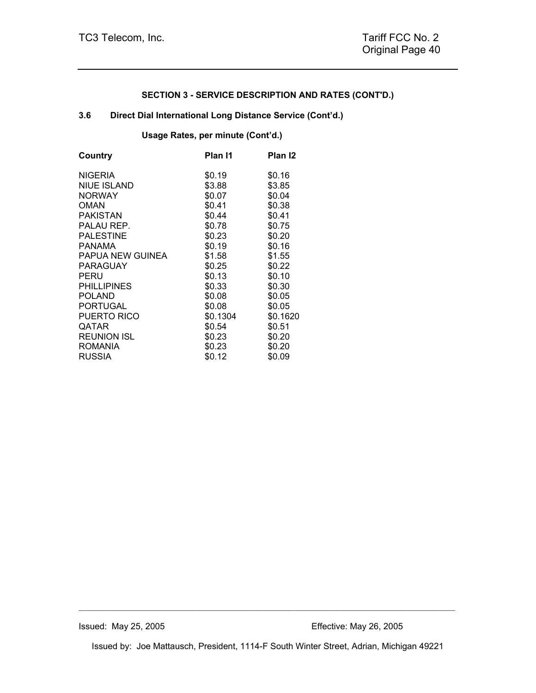## **3.6 Direct Dial International Long Distance Service (Cont'd.)**

**Usage Rates, per minute (Cont'd.)** 

| Country            | Plan I1  | Plan I2  |
|--------------------|----------|----------|
| <b>NIGERIA</b>     | \$0.19   | \$0.16   |
| <b>NIUE ISLAND</b> | \$3.88   | \$3.85   |
| <b>NORWAY</b>      | \$0.07   | \$0.04   |
| OMAN               | \$0.41   | \$0.38   |
| <b>PAKISTAN</b>    | \$0.44   | \$0.41   |
| PALAU REP.         | \$0.78   | \$0.75   |
| <b>PALESTINE</b>   | \$0.23   | \$0.20   |
| PANAMA             | \$0.19   | \$0.16   |
| PAPUA NEW GUINEA   | \$1.58   | \$1.55   |
| PARAGUAY           | \$0.25   | \$0.22   |
| PERU               | \$0.13   | \$0.10   |
| <b>PHILLIPINES</b> | \$0.33   | \$0.30   |
| <b>POLAND</b>      | \$0.08   | \$0.05   |
| <b>PORTUGAL</b>    | \$0.08   | \$0.05   |
| PUERTO RICO        | \$0.1304 | \$0.1620 |
| <b>QATAR</b>       | \$0.54   | \$0.51   |
| <b>REUNION ISL</b> | \$0.23   | \$0.20   |
| <b>ROMANIA</b>     | \$0.23   | \$0.20   |
| <b>RUSSIA</b>      | \$0.12   | \$0.09   |
|                    |          |          |

Issued by: Joe Mattausch, President, 1114-F South Winter Street, Adrian, Michigan 49221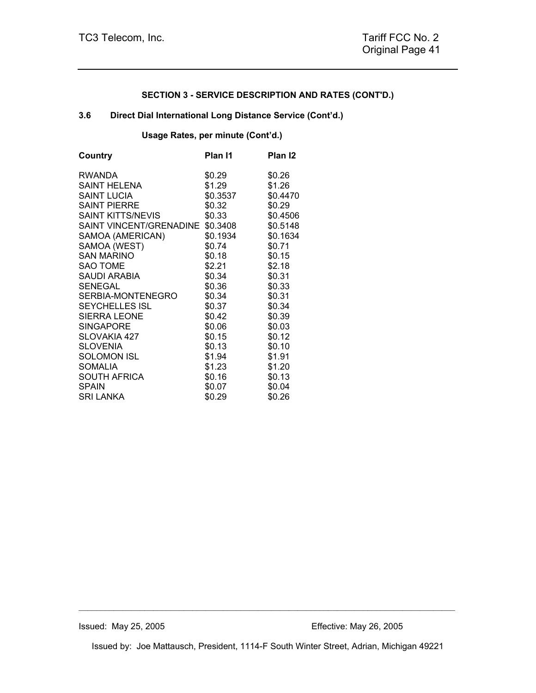## **3.6 Direct Dial International Long Distance Service (Cont'd.)**

## **Usage Rates, per minute (Cont'd.)**

| Country                 | Plan I1  | Plan <sub>12</sub> |
|-------------------------|----------|--------------------|
| <b>RWANDA</b>           | \$0.29   | \$0.26             |
| SAINT HELENA            | \$1.29   | \$1.26             |
| <b>SAINT LUCIA</b>      | \$0.3537 | \$0.4470           |
| <b>SAINT PIERRE</b>     | \$0.32   | \$0.29             |
| SAINT KITTS/NEVIS       | \$0.33   | \$0.4506           |
| SAINT VINCENT/GRENADINE | \$0.3408 | \$0.5148           |
| SAMOA (AMERICAN)        | \$0.1934 | \$0.1634           |
| SAMOA (WEST)            | \$0.74   | \$0.71             |
| <b>SAN MARINO</b>       | \$0.18   | \$0.15             |
| <b>SAO TOME</b>         | \$2.21   | \$2.18             |
| SAUDI ARABIA            | \$0.34   | \$0.31             |
| <b>SENEGAL</b>          | \$0.36   | \$0.33             |
| SERBIA-MONTENEGRO       | \$0.34   | \$0.31             |
| <b>SEYCHELLES ISL</b>   | \$0.37   | \$0.34             |
| <b>SIERRA LEONE</b>     | \$0.42   | \$0.39             |
| <b>SINGAPORE</b>        | \$0.06   | \$0.03             |
| SLOVAKIA 427            | \$0.15   | \$0.12             |
| <b>SLOVENIA</b>         | \$0.13   | \$0.10             |
| SOLOMON ISL             | \$1.94   | \$1.91             |
| <b>SOMALIA</b>          | \$1.23   | \$1.20             |
| <b>SOUTH AFRICA</b>     | \$0.16   | \$0.13             |
| <b>SPAIN</b>            | \$0.07   | \$0.04             |
| <b>SRI LANKA</b>        | \$0.29   | \$0.26             |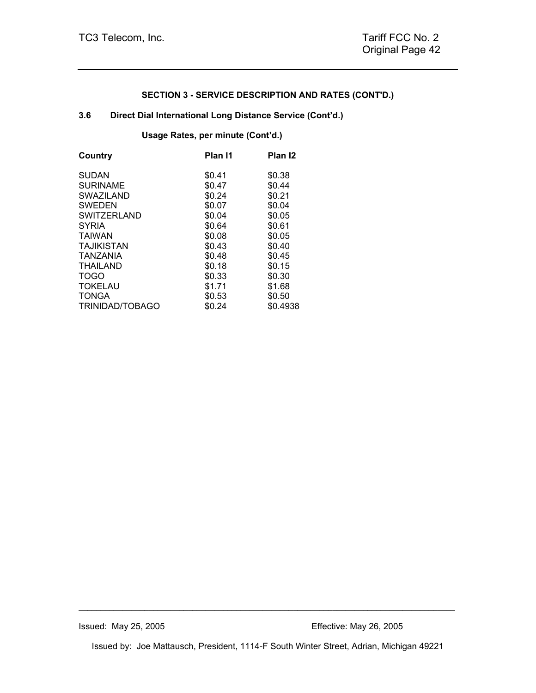## **3.6 Direct Dial International Long Distance Service (Cont'd.)**

**Usage Rates, per minute (Cont'd.)** 

| Country            | Plan I1 | Plan <sub>12</sub> |
|--------------------|---------|--------------------|
| <b>SUDAN</b>       | \$0.41  | \$0.38             |
| <b>SURINAME</b>    | \$0.47  | \$0.44             |
| <b>SWAZILAND</b>   | \$0.24  | \$0.21             |
| <b>SWEDEN</b>      | \$0.07  | \$0.04             |
| <b>SWITZERLAND</b> | \$0.04  | \$0.05             |
| <b>SYRIA</b>       | \$0.64  | \$0.61             |
| <b>TAIWAN</b>      | \$0.08  | \$0.05             |
| <b>TAJIKISTAN</b>  | \$0.43  | \$0.40             |
| TANZANIA           | \$0.48  | \$0.45             |
| THAILAND           | \$0.18  | \$0.15             |
| <b>TOGO</b>        | \$0.33  | \$0.30             |
| <b>TOKELAU</b>     | \$1.71  | \$1.68             |
| <b>TONGA</b>       | \$0.53  | \$0.50             |
| TRINIDAD/TOBAGO    | \$0.24  | \$0.4938           |

Issued by: Joe Mattausch, President, 1114-F South Winter Street, Adrian, Michigan 49221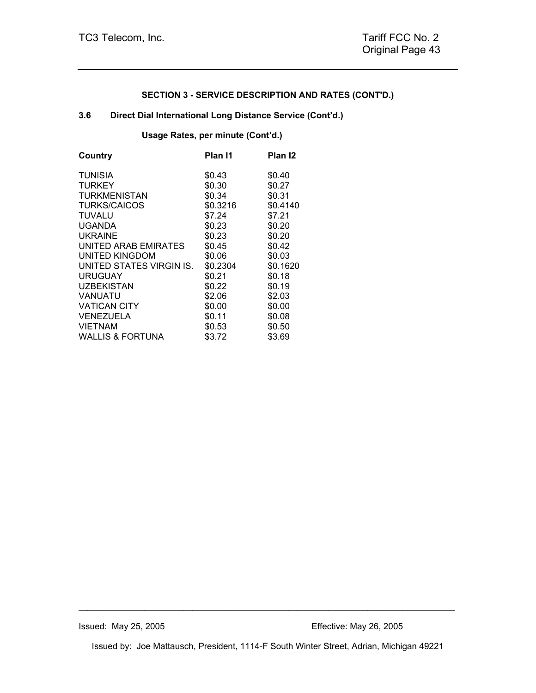## **3.6 Direct Dial International Long Distance Service (Cont'd.)**

**Usage Rates, per minute (Cont'd.)** 

| Plan I1  | Plan <sub>12</sub> |
|----------|--------------------|
| \$0.43   | \$0.40             |
| \$0.30   | \$0.27             |
| \$0.34   | \$0.31             |
| \$0.3216 | \$0.4140           |
| \$7.24   | \$7.21             |
| \$0.23   | \$0.20             |
| \$0.23   | \$0.20             |
| \$0.45   | \$0.42             |
| \$0.06   | \$0.03             |
| \$0.2304 | \$0.1620           |
| \$0.21   | \$0.18             |
| \$0.22   | \$0.19             |
| \$2.06   | \$2.03             |
| \$0.00   | \$0.00             |
| \$0.11   | \$0.08             |
| \$0.53   | \$0.50             |
| \$3.72   | \$3.69             |
|          |                    |

Issued by: Joe Mattausch, President, 1114-F South Winter Street, Adrian, Michigan 49221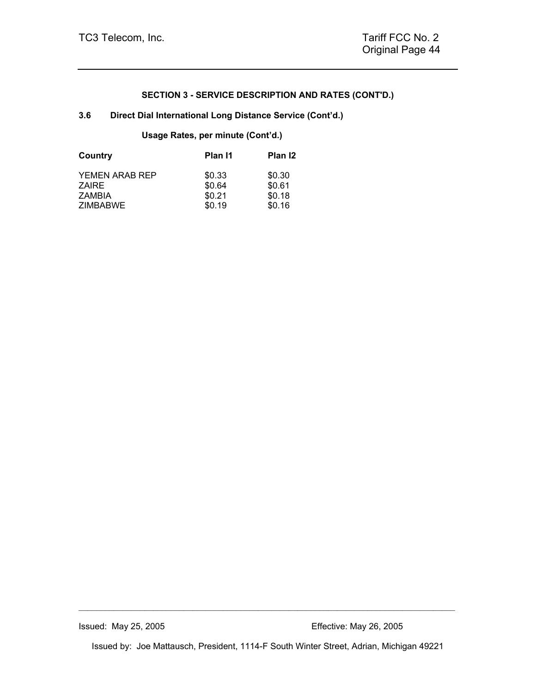## **3.6 Direct Dial International Long Distance Service (Cont'd.)**

## **Usage Rates, per minute (Cont'd.)**

| Plan I1 | Plan I2 |
|---------|---------|
| \$0.33  | \$0.30  |
| \$0.64  | \$0.61  |
| \$0.21  | \$0.18  |
| \$0.19  | \$0.16  |
|         |         |

Issued by: Joe Mattausch, President, 1114-F South Winter Street, Adrian, Michigan 49221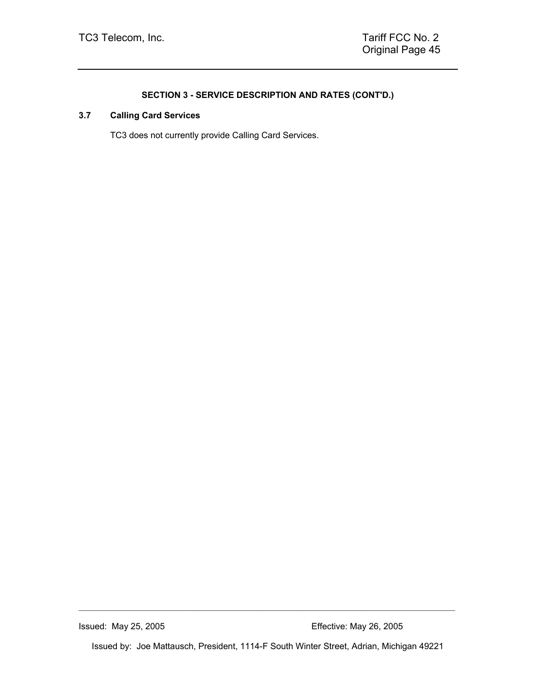# **3.7 Calling Card Services**

TC3 does not currently provide Calling Card Services.

Issued: May 25, 2005 Effective: May 26, 2005

Issued by: Joe Mattausch, President, 1114-F South Winter Street, Adrian, Michigan 49221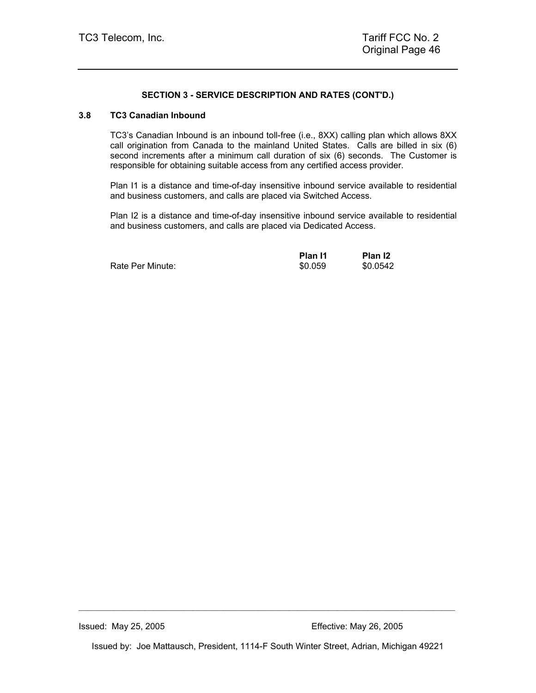#### **3.8 TC3 Canadian Inbound**

TC3's Canadian Inbound is an inbound toll-free (i.e., 8XX) calling plan which allows 8XX call origination from Canada to the mainland United States. Calls are billed in six (6) second increments after a minimum call duration of six (6) seconds. The Customer is responsible for obtaining suitable access from any certified access provider.

Plan I1 is a distance and time-of-day insensitive inbound service available to residential and business customers, and calls are placed via Switched Access.

Plan I2 is a distance and time-of-day insensitive inbound service available to residential and business customers, and calls are placed via Dedicated Access.

|                  | Plan I1 | Plan <sub>12</sub> |
|------------------|---------|--------------------|
| Rate Per Minute: | \$0.059 | \$0.0542           |

Issued by: Joe Mattausch, President, 1114-F South Winter Street, Adrian, Michigan 49221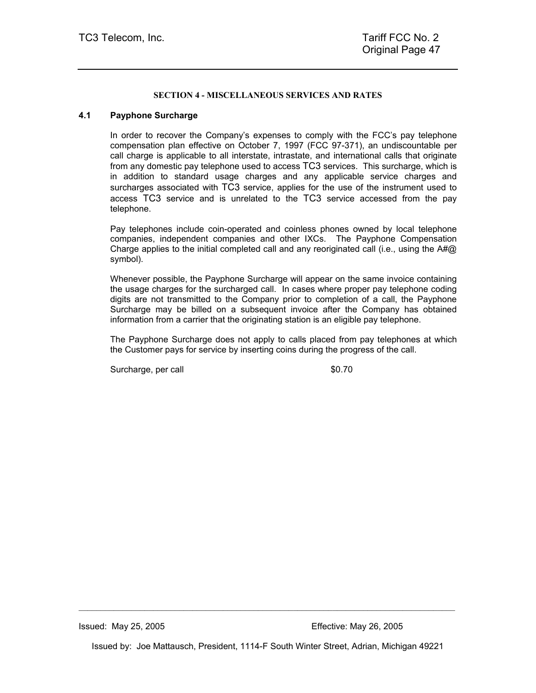#### **SECTION 4 - MISCELLANEOUS SERVICES AND RATES**

## **4.1 Payphone Surcharge**

In order to recover the Company's expenses to comply with the FCC's pay telephone compensation plan effective on October 7, 1997 (FCC 97-371), an undiscountable per call charge is applicable to all interstate, intrastate, and international calls that originate from any domestic pay telephone used to access TC3 services. This surcharge, which is in addition to standard usage charges and any applicable service charges and surcharges associated with TC3 service, applies for the use of the instrument used to access TC3 service and is unrelated to the TC3 service accessed from the pay telephone.

Pay telephones include coin-operated and coinless phones owned by local telephone companies, independent companies and other IXCs. The Payphone Compensation Charge applies to the initial completed call and any reoriginated call (i.e., using the  $A\#Q$ symbol).

Whenever possible, the Payphone Surcharge will appear on the same invoice containing the usage charges for the surcharged call. In cases where proper pay telephone coding digits are not transmitted to the Company prior to completion of a call, the Payphone Surcharge may be billed on a subsequent invoice after the Company has obtained information from a carrier that the originating station is an eligible pay telephone.

The Payphone Surcharge does not apply to calls placed from pay telephones at which the Customer pays for service by inserting coins during the progress of the call.

Surcharge, per call \$0.70

Issued by: Joe Mattausch, President, 1114-F South Winter Street, Adrian, Michigan 49221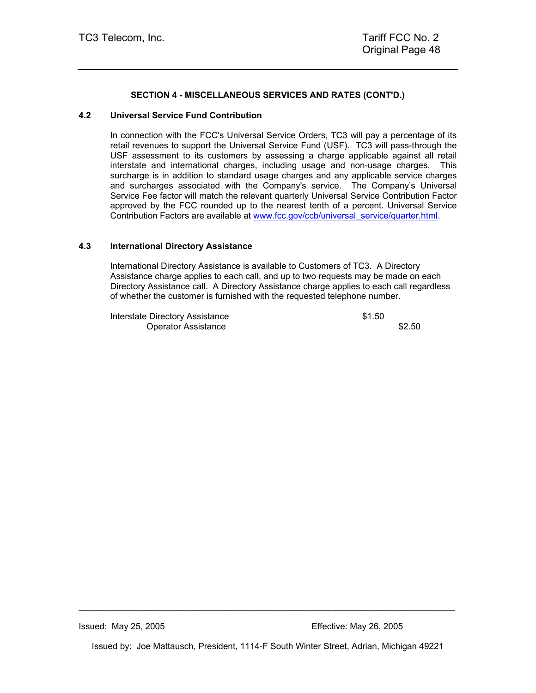## **SECTION 4 - MISCELLANEOUS SERVICES AND RATES (CONT'D.)**

#### **4.2 Universal Service Fund Contribution**

In connection with the FCC's Universal Service Orders, TC3 will pay a percentage of its retail revenues to support the Universal Service Fund (USF). TC3 will pass-through the USF assessment to its customers by assessing a charge applicable against all retail interstate and international charges, including usage and non-usage charges. This surcharge is in addition to standard usage charges and any applicable service charges and surcharges associated with the Company's service. The Company's Universal Service Fee factor will match the relevant quarterly Universal Service Contribution Factor approved by the FCC rounded up to the nearest tenth of a percent. Universal Service Contribution Factors are available at www.fcc.gov/ccb/universal\_service/quarter.html.

#### **4.3 International Directory Assistance**

International Directory Assistance is available to Customers of TC3. A Directory Assistance charge applies to each call, and up to two requests may be made on each Directory Assistance call. A Directory Assistance charge applies to each call regardless of whether the customer is furnished with the requested telephone number.

Interstate Directory Assistance  $$1.50$ Operator Assistance \$2.50

Issued by: Joe Mattausch, President, 1114-F South Winter Street, Adrian, Michigan 49221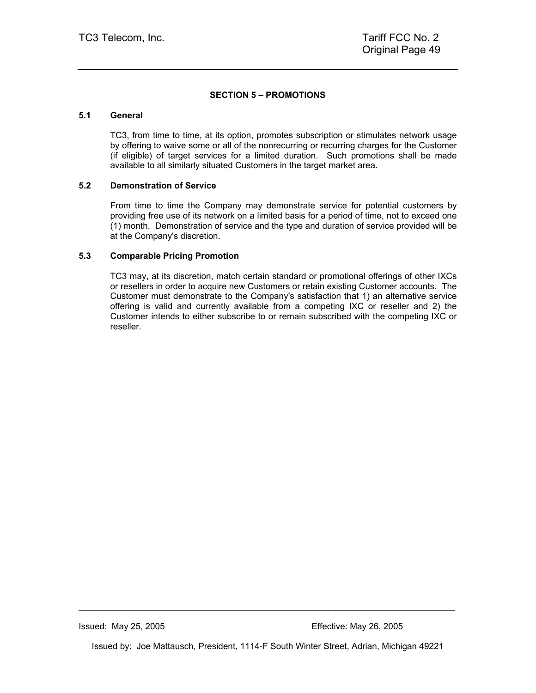#### **SECTION 5 – PROMOTIONS**

#### **5.1 General**

TC3, from time to time, at its option, promotes subscription or stimulates network usage by offering to waive some or all of the nonrecurring or recurring charges for the Customer (if eligible) of target services for a limited duration. Such promotions shall be made available to all similarly situated Customers in the target market area.

#### **5.2 Demonstration of Service**

From time to time the Company may demonstrate service for potential customers by providing free use of its network on a limited basis for a period of time, not to exceed one (1) month. Demonstration of service and the type and duration of service provided will be at the Company's discretion.

#### **5.3 Comparable Pricing Promotion**

TC3 may, at its discretion, match certain standard or promotional offerings of other IXCs or resellers in order to acquire new Customers or retain existing Customer accounts. The Customer must demonstrate to the Company's satisfaction that 1) an alternative service offering is valid and currently available from a competing IXC or reseller and 2) the Customer intends to either subscribe to or remain subscribed with the competing IXC or reseller.

Issued by: Joe Mattausch, President, 1114-F South Winter Street, Adrian, Michigan 49221